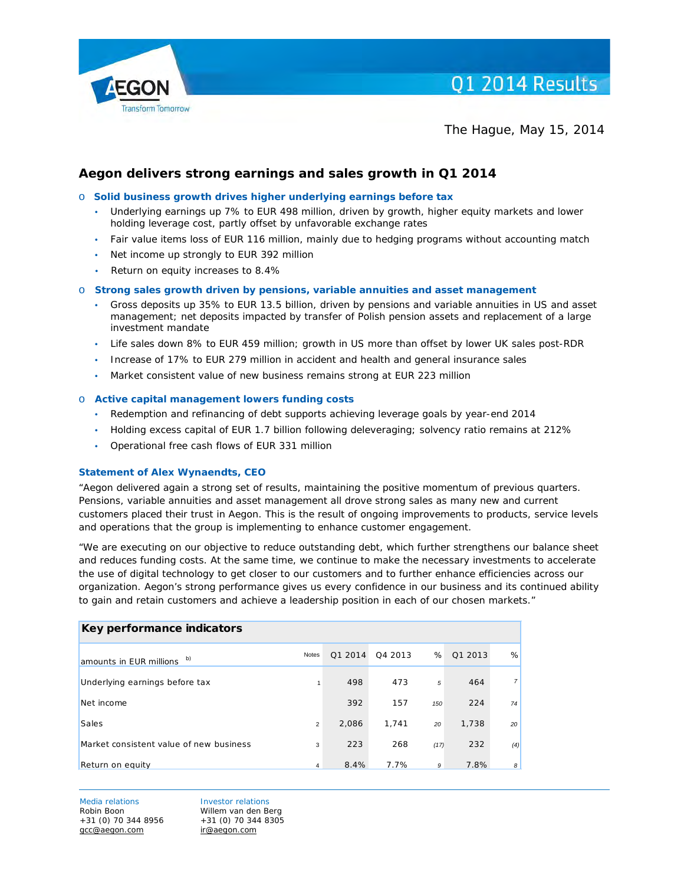

The Hague, May 15, 2014

# **Aegon delivers strong earnings and sales growth in Q1 2014**

#### o **Solid business growth drives higher underlying earnings before tax**

- Underlying earnings up 7% to EUR 498 million, driven by growth, higher equity markets and lower holding leverage cost, partly offset by unfavorable exchange rates
- Fair value items loss of EUR 116 million, mainly due to hedging programs without accounting match
- Net income up strongly to EUR 392 million
- Return on equity increases to 8.4%

#### o **Strong sales growth driven by pensions, variable annuities and asset management**

- Gross deposits up 35% to EUR 13.5 billion, driven by pensions and variable annuities in US and asset management; net deposits impacted by transfer of Polish pension assets and replacement of a large investment mandate
- Life sales down 8% to EUR 459 million; growth in US more than offset by lower UK sales post-RDR
- Increase of 17% to EUR 279 million in accident and health and general insurance sales
- Market consistent value of new business remains strong at EUR 223 million

#### o **Active capital management lowers funding costs**

- Redemption and refinancing of debt supports achieving leverage goals by year-end 2014
- Holding excess capital of EUR 1.7 billion following deleveraging; solvency ratio remains at 212%
- Operational free cash flows of EUR 331 million

#### **Statement of Alex Wynaendts, CEO**

"Aegon delivered again a strong set of results, maintaining the positive momentum of previous quarters. Pensions, variable annuities and asset management all drove strong sales as many new and current customers placed their trust in Aegon. This is the result of ongoing improvements to products, service levels and operations that the group is implementing to enhance customer engagement.

"We are executing on our objective to reduce outstanding debt, which further strengthens our balance sheet and reduces funding costs. At the same time, we continue to make the necessary investments to accelerate the use of digital technology to get closer to our customers and to further enhance efficiencies across our organization. Aegon's strong performance gives us every confidence in our business and its continued ability to gain and retain customers and achieve a leadership position in each of our chosen markets."

| Key performance indicators               |                |         |         |      |         |                 |
|------------------------------------------|----------------|---------|---------|------|---------|-----------------|
| amounts in EUR millions $\overline{b}$ ) | <b>Notes</b>   | Q1 2014 | 04 2013 | %    | Q1 2013 | %               |
| Underlying earnings before tax           |                | 498     | 473     | 5    | 464     | 7 <sup>1</sup>  |
| Net income                               |                | 392     | 157     | 150  | 224     | 74              |
| Sales                                    | $\overline{2}$ | 2,086   | 1,741   | 20   | 1,738   | 20 <sup>1</sup> |
| Market consistent value of new business  | 3              | 223     | 268     | (17) | 232     | (4)             |
| Return on equity                         | $\overline{4}$ | 8.4%    | 7.7%    | 9    | 7.8%    | 8 <sup>1</sup>  |

Media relations **Investor relations** Robin Boon Willem van den Berg<br>+31 (0) 70 344 8956 +31 (0) 70 344 8305 +31 (0) 70 344 8956 [gcc@aegon.com](mailto:gcc@aegon.com) [ir@aegon.com](mailto:ir@aegon.com)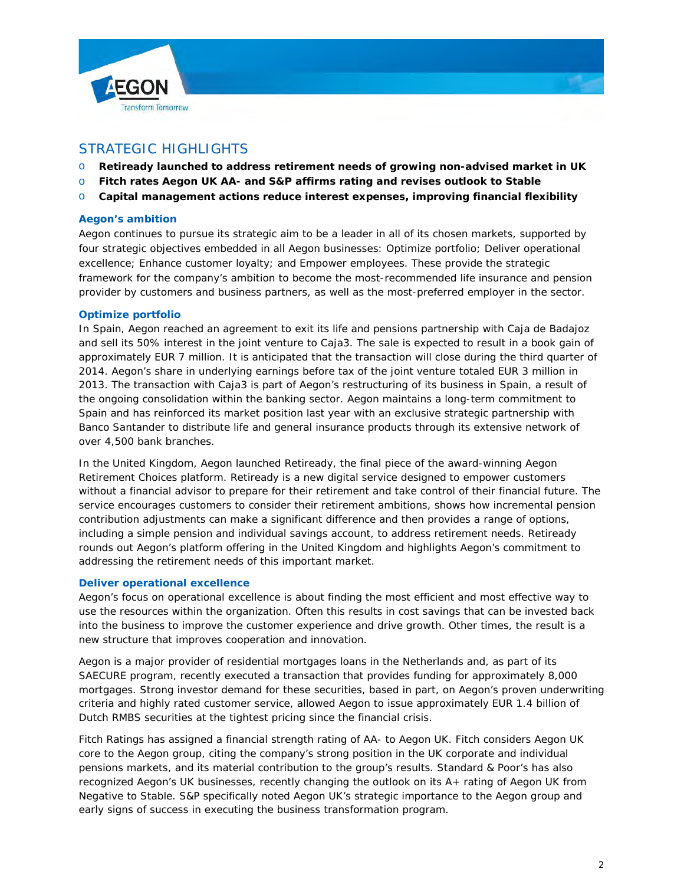



# STRATEGIC HIGHLIGHTS

- o **Retiready launched to address retirement needs of growing non-advised market in UK**
- o **Fitch rates Aegon UK AA- and S&P affirms rating and revises outlook to Stable**
- o **Capital management actions reduce interest expenses, improving financial flexibility**

### **Aegon's ambition**

Aegon continues to pursue its strategic aim to be a leader in all of its chosen markets, supported by four strategic objectives embedded in all Aegon businesses: Optimize portfolio; Deliver operational excellence; Enhance customer loyalty; and Empower employees. These provide the strategic framework for the company's ambition to become the most-recommended life insurance and pension provider by customers and business partners, as well as the most-preferred employer in the sector.

### **Optimize portfolio**

In Spain, Aegon reached an agreement to exit its life and pensions partnership with Caja de Badajoz and sell its 50% interest in the joint venture to Caja3. The sale is expected to result in a book gain of approximately EUR 7 million. It is anticipated that the transaction will close during the third quarter of 2014. Aegon's share in underlying earnings before tax of the joint venture totaled EUR 3 million in 2013. The transaction with Caja3 is part of Aegon's restructuring of its business in Spain, a result of the ongoing consolidation within the banking sector. Aegon maintains a long-term commitment to Spain and has reinforced its market position last year with an exclusive strategic partnership with Banco Santander to distribute life and general insurance products through its extensive network of over 4,500 bank branches.

In the United Kingdom, Aegon launched Retiready, the final piece of the award-winning Aegon Retirement Choices platform. Retiready is a new digital service designed to empower customers without a financial advisor to prepare for their retirement and take control of their financial future. The service encourages customers to consider their retirement ambitions, shows how incremental pension contribution adjustments can make a significant difference and then provides a range of options, including a simple pension and individual savings account, to address retirement needs. Retiready rounds out Aegon's platform offering in the United Kingdom and highlights Aegon's commitment to addressing the retirement needs of this important market.

### **Deliver operational excellence**

Aegon's focus on operational excellence is about finding the most efficient and most effective way to use the resources within the organization. Often this results in cost savings that can be invested back into the business to improve the customer experience and drive growth. Other times, the result is a new structure that improves cooperation and innovation.

Aegon is a major provider of residential mortgages loans in the Netherlands and, as part of its SAECURE program, recently executed a transaction that provides funding for approximately 8,000 mortgages. Strong investor demand for these securities, based in part, on Aegon's proven underwriting criteria and highly rated customer service, allowed Aegon to issue approximately EUR 1.4 billion of Dutch RMBS securities at the tightest pricing since the financial crisis.

Fitch Ratings has assigned a financial strength rating of AA- to Aegon UK. Fitch considers Aegon UK core to the Aegon group, citing the company's strong position in the UK corporate and individual pensions markets, and its material contribution to the group's results. Standard & Poor's has also recognized Aegon's UK businesses, recently changing the outlook on its A+ rating of Aegon UK from Negative to Stable. S&P specifically noted Aegon UK's strategic importance to the Aegon group and early signs of success in executing the business transformation program.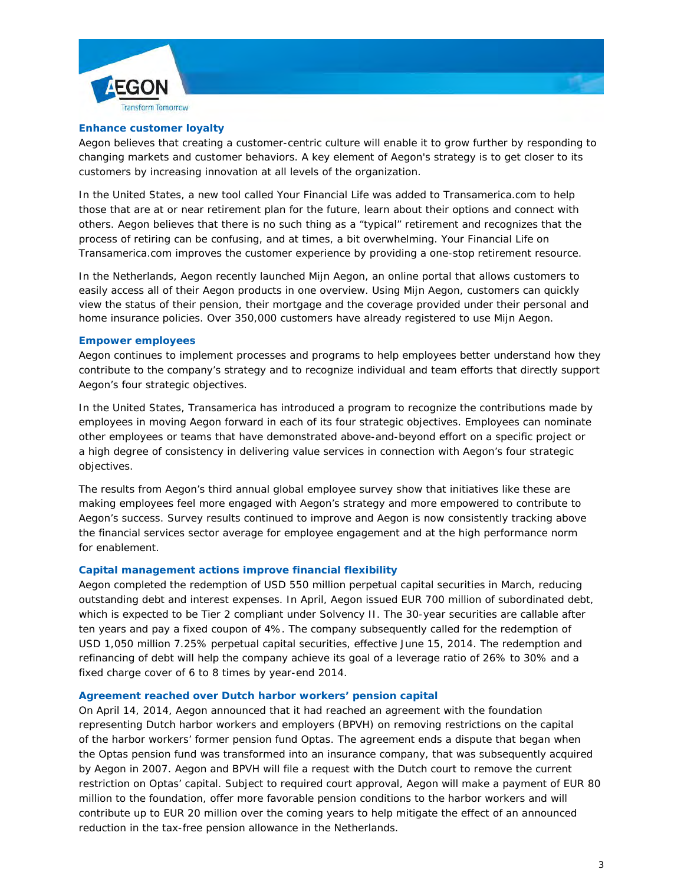



#### **Enhance customer loyalty**

Aegon believes that creating a customer-centric culture will enable it to grow further by responding to changing markets and customer behaviors. A key element of Aegon's strategy is to get closer to its customers by increasing innovation at all levels of the organization.

In the United States, a new tool called *Your Financial Life* was added to Transamerica.com to help those that are at or near retirement plan for the future, learn about their options and connect with others. Aegon believes that there is no such thing as a "typical" retirement and recognizes that the process of retiring can be confusing, and at times, a bit overwhelming. *Your Financial Life* on Transamerica.com improves the customer experience by providing a one-stop retirement resource.

In the Netherlands, Aegon recently launched *Mijn Aegon*, an online portal that allows customers to easily access all of their Aegon products in one overview. Using *Mijn Aegon*, customers can quickly view the status of their pension, their mortgage and the coverage provided under their personal and home insurance policies. Over 350,000 customers have already registered to use *Mijn Aegon*.

#### **Empower employees**

Aegon continues to implement processes and programs to help employees better understand how they contribute to the company's strategy and to recognize individual and team efforts that directly support Aegon's four strategic objectives.

In the United States, Transamerica has introduced a program to recognize the contributions made by employees in moving Aegon forward in each of its four strategic objectives. Employees can nominate other employees or teams that have demonstrated above-and-beyond effort on a specific project or a high degree of consistency in delivering value services in connection with Aegon's four strategic objectives.

The results from Aegon's third annual global employee survey show that initiatives like these are making employees feel more engaged with Aegon's strategy and more empowered to contribute to Aegon's success. Survey results continued to improve and Aegon is now consistently tracking above the financial services sector average for employee engagement and at the high performance norm for enablement.

### **Capital management actions improve financial flexibility**

Aegon completed the redemption of USD 550 million perpetual capital securities in March, reducing outstanding debt and interest expenses. In April, Aegon issued EUR 700 million of subordinated debt, which is expected to be Tier 2 compliant under Solvency II. The 30-year securities are callable after ten years and pay a fixed coupon of 4%. The company subsequently called for the redemption of USD 1,050 million 7.25% perpetual capital securities, effective June 15, 2014. The redemption and refinancing of debt will help the company achieve its goal of a leverage ratio of 26% to 30% and a fixed charge cover of 6 to 8 times by year-end 2014.

#### **Agreement reached over Dutch harbor workers' pension capital**

On April 14, 2014, Aegon announced that it had reached an agreement with the foundation representing Dutch harbor workers and employers (BPVH) on removing restrictions on the capital of the harbor workers' former pension fund Optas. The agreement ends a dispute that began when the Optas pension fund was transformed into an insurance company, that was subsequently acquired by Aegon in 2007. Aegon and BPVH will file a request with the Dutch court to remove the current restriction on Optas' capital. Subject to required court approval, Aegon will make a payment of EUR 80 million to the foundation, offer more favorable pension conditions to the harbor workers and will contribute up to EUR 20 million over the coming years to help mitigate the effect of an announced reduction in the tax-free pension allowance in the Netherlands.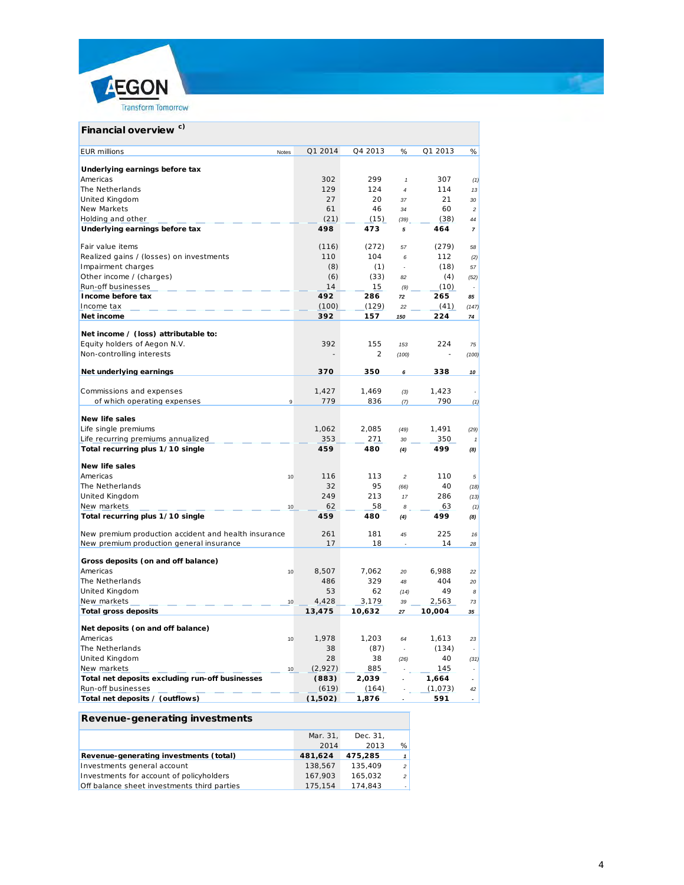

| Financial overview <sup>c)</sup>                                     |         |                |                         |         |                          |
|----------------------------------------------------------------------|---------|----------------|-------------------------|---------|--------------------------|
| <b>EUR</b> millions<br>Notes                                         | Q1 2014 | Q4 2013        | %                       | Q1 2013 | $\%$                     |
|                                                                      |         |                |                         |         |                          |
| Underlying earnings before tax                                       |         |                |                         |         |                          |
| Americas                                                             | 302     | 299            | $\mathbf{1}$            | 307     | (1)                      |
| The Netherlands                                                      | 129     | 124            | $\overline{a}$          | 114     | 13                       |
| United Kingdom                                                       | 27      | 20             | 37                      | 21      | 30                       |
| New Markets                                                          | 61      | 46             | 34                      | 60      | $\overline{c}$           |
| Holding and other                                                    | (21)    | (15)           | (39)                    | (38)    | 44                       |
| Underlying earnings before tax                                       | 498     | 473            | 5                       | 464     | $\overline{\phantom{a}}$ |
| Fair value items                                                     | (116)   | (272)          | 57                      | (279)   | 58                       |
| Realized gains / (losses) on investments                             | 110     | 104            | 6                       | 112     | (2)                      |
| Impairment charges                                                   | (8)     | (1)            | $\overline{a}$          | (18)    | 57                       |
| Other income / (charges)                                             | (6)     | (33)           | 82                      | (4)     | (52)                     |
| Run-off businesses                                                   | 14      | 15             | (9)                     | (10)    |                          |
| Income before tax                                                    | 492     | 286            | 72                      | 265     | 85                       |
| Income tax                                                           | (100)   | (129)          | 22                      | (41)    | (147)                    |
| Net income                                                           | 392     | 157            | 150                     | 224     | 74                       |
|                                                                      |         |                |                         |         |                          |
| Net income / (loss) attributable to:<br>Equity holders of Aegon N.V. | 392     | 155            | 153                     | 224     | 75                       |
| Non-controlling interests                                            |         | $\overline{2}$ |                         |         |                          |
|                                                                      |         |                | (100)                   |         | (100)                    |
| Net underlying earnings                                              | 370     | 350            | 6                       | 338     | 10                       |
|                                                                      | 1,427   | 1,469          | (3)                     | 1,423   |                          |
| Commissions and expenses<br>of which operating expenses<br>9         | 779     | 836            |                         | 790     |                          |
|                                                                      |         |                | (7)                     |         | (1)                      |
| <b>New life sales</b>                                                |         |                |                         |         |                          |
| Life single premiums                                                 | 1,062   | 2,085          | (49)                    | 1,491   | (29)                     |
| Life recurring premiums annualized                                   | 353     | 271            | 30                      | 350     | $\mathbf{1}$             |
| Total recurring plus 1/10 single                                     | 459     | 480            | (4)                     | 499     | (8)                      |
| <b>New life sales</b>                                                |         |                |                         |         |                          |
| Americas<br>10                                                       | 116     | 113            | $\overline{\mathbf{c}}$ | 110     | 5                        |
| The Netherlands                                                      | 32      | 95             | (66)                    | 40      | (18)                     |
| United Kingdom                                                       | 249     | 213            | 17                      | 286     | (13)                     |
| New markets<br>10                                                    | 62      | 58             | 8                       | 63      | (1)                      |
| Total recurring plus 1/10 single                                     | 459     | 480            | (4)                     | 499     | (8)                      |
|                                                                      |         |                |                         |         |                          |
| New premium production accident and health insurance                 | 261     | 181            | 45                      | 225     | 16                       |
| New premium production general insurance                             | 17      | 18             |                         | 14      | 28                       |
| Gross deposits (on and off balance)                                  |         |                |                         |         |                          |
| Americas<br>10                                                       | 8,507   | 7,062          | 20                      | 6,988   | 22                       |
| The Netherlands                                                      | 486     | 329            | 48                      | 404     | 20                       |
| United Kingdom                                                       | 53      | 62             | (14)                    | 49      | 8                        |
| New markets<br>10                                                    | 4,428   | 3,179          | 39                      | 2,563   | 73                       |
| <b>Total gross deposits</b>                                          | 13,475  | 10,632         | 27                      | 10,004  | 35                       |
| Net deposits (on and off balance)                                    |         |                |                         |         |                          |
| Americas<br>10                                                       | 1,978   | 1,203          | 64                      | 1,613   | 23                       |
| The Netherlands                                                      | 38      | (87)           |                         | (134)   |                          |
| United Kingdom                                                       | 28      | 38             | (26)                    | 40      | (31)                     |
| New markets<br>10                                                    | (2,927) | 885            |                         | 145     | $\sim$                   |
| Total net deposits excluding run-off businesses                      | (883)   | 2,039          |                         | 1,664   |                          |
| Run-off businesses                                                   | (619)   | (164)          |                         | (1,073) | 42                       |
| Total net deposits / (outflows)                                      | (1,502) | 1,876          |                         | 591     |                          |

## **Revenue-generating investments**

|                                             | Mar. 31. | Dec. 31. |                          |
|---------------------------------------------|----------|----------|--------------------------|
|                                             | 2014     | 2013     | %                        |
| Revenue-generating investments (total)      | 481.624  | 475,285  | $\mathbf{1}$             |
| Investments general account                 | 138.567  | 135.409  | $\overline{\phantom{0}}$ |
| Investments for account of policyholders    | 167.903  | 165.032  | $\overline{\phantom{0}}$ |
| Off balance sheet investments third parties | 175.154  | 174.843  | $\sim$                   |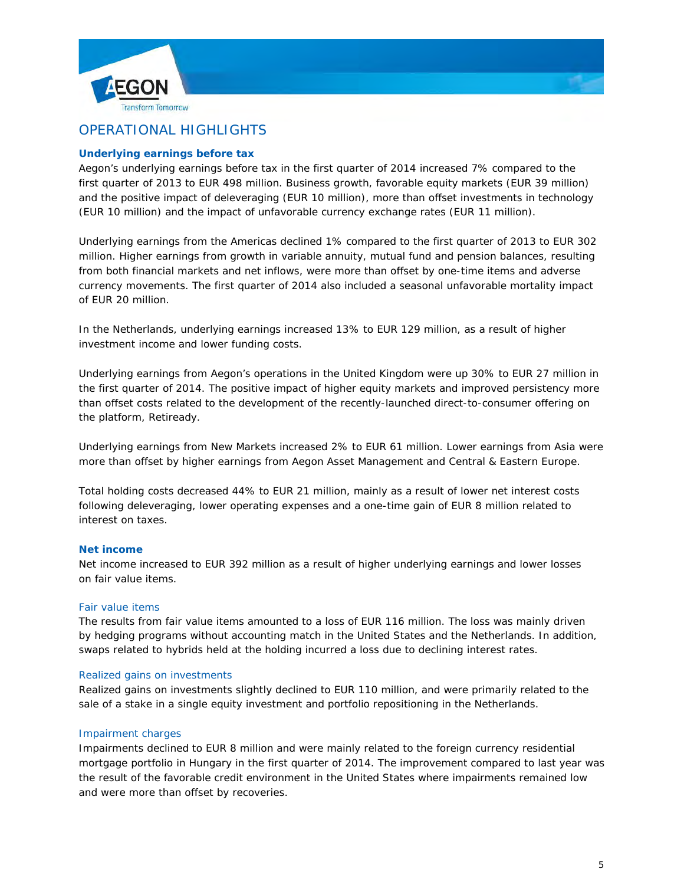



# OPERATIONAL HIGHLIGHTS

## **Underlying earnings before tax**

Aegon's underlying earnings before tax in the first quarter of 2014 increased 7% compared to the first quarter of 2013 to EUR 498 million. Business growth, favorable equity markets (EUR 39 million) and the positive impact of deleveraging (EUR 10 million), more than offset investments in technology (EUR 10 million) and the impact of unfavorable currency exchange rates (EUR 11 million).

Underlying earnings from the Americas declined 1% compared to the first quarter of 2013 to EUR 302 million. Higher earnings from growth in variable annuity, mutual fund and pension balances, resulting from both financial markets and net inflows, were more than offset by one-time items and adverse currency movements. The first quarter of 2014 also included a seasonal unfavorable mortality impact of EUR 20 million.

In the Netherlands, underlying earnings increased 13% to EUR 129 million, as a result of higher investment income and lower funding costs.

Underlying earnings from Aegon's operations in the United Kingdom were up 30% to EUR 27 million in the first quarter of 2014. The positive impact of higher equity markets and improved persistency more than offset costs related to the development of the recently-launched direct-to-consumer offering on the platform, Retiready.

Underlying earnings from New Markets increased 2% to EUR 61 million. Lower earnings from Asia were more than offset by higher earnings from Aegon Asset Management and Central & Eastern Europe.

Total holding costs decreased 44% to EUR 21 million, mainly as a result of lower net interest costs following deleveraging, lower operating expenses and a one-time gain of EUR 8 million related to interest on taxes.

### **Net income**

Net income increased to EUR 392 million as a result of higher underlying earnings and lower losses on fair value items.

### *Fair value items*

The results from fair value items amounted to a loss of EUR 116 million. The loss was mainly driven by hedging programs without accounting match in the United States and the Netherlands. In addition, swaps related to hybrids held at the holding incurred a loss due to declining interest rates.

#### *Realized gains on investments*

Realized gains on investments slightly declined to EUR 110 million, and were primarily related to the sale of a stake in a single equity investment and portfolio repositioning in the Netherlands.

### *Impairment charges*

Impairments declined to EUR 8 million and were mainly related to the foreign currency residential mortgage portfolio in Hungary in the first quarter of 2014. The improvement compared to last year was the result of the favorable credit environment in the United States where impairments remained low and were more than offset by recoveries.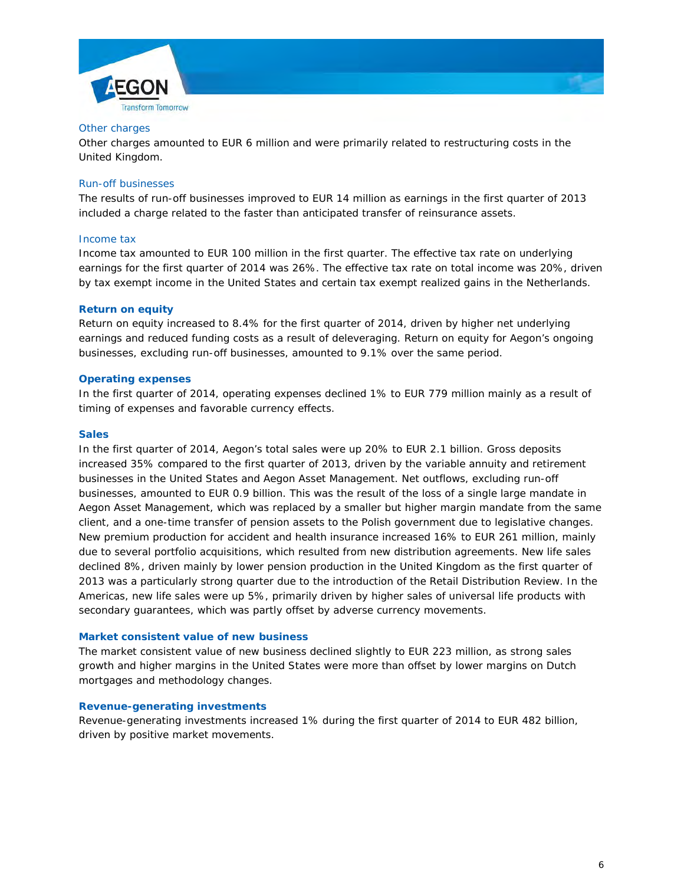



#### *Other charges*

Other charges amounted to EUR 6 million and were primarily related to restructuring costs in the United Kingdom.

### *Run-off businesses*

The results of run-off businesses improved to EUR 14 million as earnings in the first quarter of 2013 included a charge related to the faster than anticipated transfer of reinsurance assets.

#### *Income tax*

Income tax amounted to EUR 100 million in the first quarter. The effective tax rate on underlying earnings for the first quarter of 2014 was 26%. The effective tax rate on total income was 20%, driven by tax exempt income in the United States and certain tax exempt realized gains in the Netherlands.

### **Return on equity**

Return on equity increased to 8.4% for the first quarter of 2014, driven by higher net underlying earnings and reduced funding costs as a result of deleveraging. Return on equity for Aegon's ongoing businesses, excluding run-off businesses, amounted to 9.1% over the same period.

### **Operating expenses**

In the first quarter of 2014, operating expenses declined 1% to EUR 779 million mainly as a result of timing of expenses and favorable currency effects.

#### **Sales**

In the first quarter of 2014, Aegon's total sales were up 20% to EUR 2.1 billion. Gross deposits increased 35% compared to the first quarter of 2013, driven by the variable annuity and retirement businesses in the United States and Aegon Asset Management. Net outflows, excluding run-off businesses, amounted to EUR 0.9 billion. This was the result of the loss of a single large mandate in Aegon Asset Management, which was replaced by a smaller but higher margin mandate from the same client, and a one-time transfer of pension assets to the Polish government due to legislative changes. New premium production for accident and health insurance increased 16% to EUR 261 million, mainly due to several portfolio acquisitions, which resulted from new distribution agreements. New life sales declined 8%, driven mainly by lower pension production in the United Kingdom as the first quarter of 2013 was a particularly strong quarter due to the introduction of the Retail Distribution Review. In the Americas, new life sales were up 5%, primarily driven by higher sales of universal life products with secondary guarantees, which was partly offset by adverse currency movements.

#### **Market consistent value of new business**

The market consistent value of new business declined slightly to EUR 223 million, as strong sales growth and higher margins in the United States were more than offset by lower margins on Dutch mortgages and methodology changes.

#### **Revenue-generating investments**

Revenue-generating investments increased 1% during the first quarter of 2014 to EUR 482 billion, driven by positive market movements.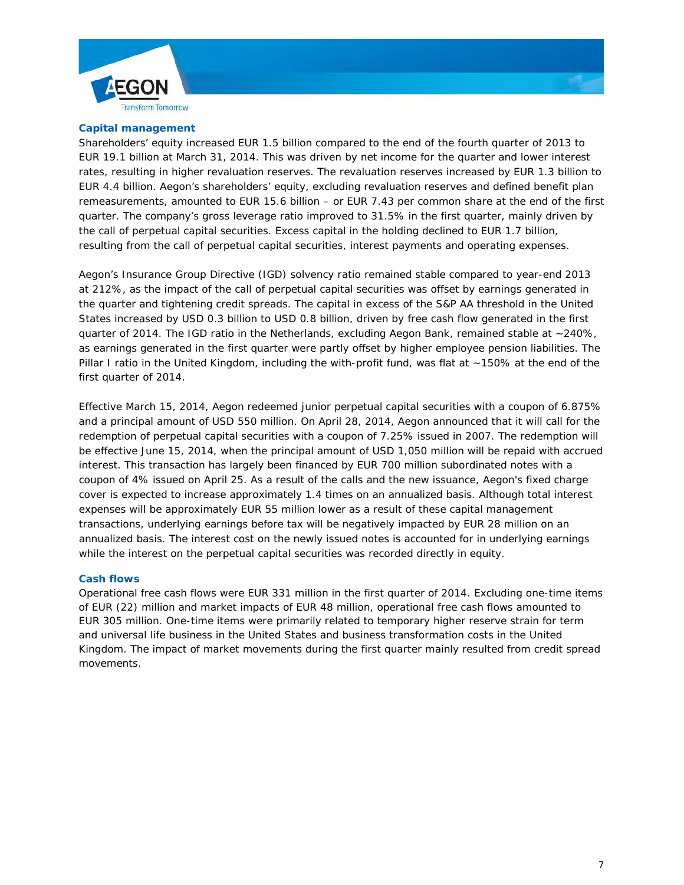



Shareholders' equity increased EUR 1.5 billion compared to the end of the fourth quarter of 2013 to EUR 19.1 billion at March 31, 2014. This was driven by net income for the quarter and lower interest rates, resulting in higher revaluation reserves. The revaluation reserves increased by EUR 1.3 billion to EUR 4.4 billion. Aegon's shareholders' equity, excluding revaluation reserves and defined benefit plan remeasurements, amounted to EUR 15.6 billion – or EUR 7.43 per common share at the end of the first quarter. The company's gross leverage ratio improved to 31.5% in the first quarter, mainly driven by the call of perpetual capital securities. Excess capital in the holding declined to EUR 1.7 billion, resulting from the call of perpetual capital securities, interest payments and operating expenses.

Aegon's Insurance Group Directive (IGD) solvency ratio remained stable compared to year-end 2013 at 212%, as the impact of the call of perpetual capital securities was offset by earnings generated in the quarter and tightening credit spreads. The capital in excess of the S&P AA threshold in the United States increased by USD 0.3 billion to USD 0.8 billion, driven by free cash flow generated in the first quarter of 2014. The IGD ratio in the Netherlands, excluding Aegon Bank, remained stable at ~240%, as earnings generated in the first quarter were partly offset by higher employee pension liabilities. The Pillar I ratio in the United Kingdom, including the with-profit fund, was flat at ~150% at the end of the first quarter of 2014.

Effective March 15, 2014, Aegon redeemed junior perpetual capital securities with a coupon of 6.875% and a principal amount of USD 550 million. On April 28, 2014, Aegon announced that it will call for the redemption of perpetual capital securities with a coupon of 7.25% issued in 2007. The redemption will be effective June 15, 2014, when the principal amount of USD 1,050 million will be repaid with accrued interest. This transaction has largely been financed by EUR 700 million subordinated notes with a coupon of 4% issued on April 25. As a result of the calls and the new issuance, Aegon's fixed charge cover is expected to increase approximately 1.4 times on an annualized basis. Although total interest expenses will be approximately EUR 55 million lower as a result of these capital management transactions, underlying earnings before tax will be negatively impacted by EUR 28 million on an annualized basis. The interest cost on the newly issued notes is accounted for in underlying earnings while the interest on the perpetual capital securities was recorded directly in equity.

#### **Cash flows**

Operational free cash flows were EUR 331 million in the first quarter of 2014. Excluding one-time items of EUR (22) million and market impacts of EUR 48 million, operational free cash flows amounted to EUR 305 million. One-time items were primarily related to temporary higher reserve strain for term and universal life business in the United States and business transformation costs in the United Kingdom. The impact of market movements during the first quarter mainly resulted from credit spread movements.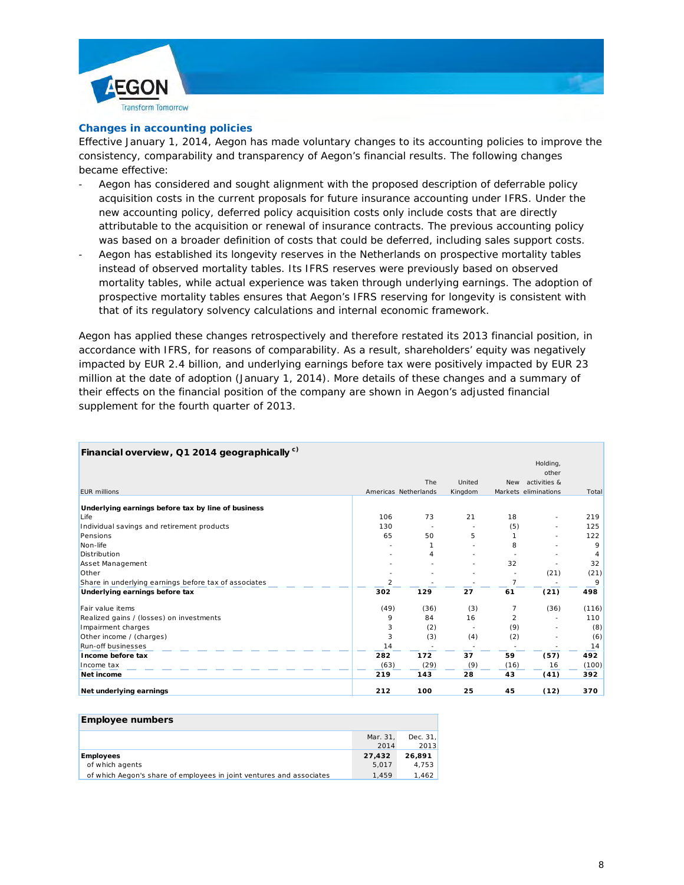



#### **Changes in accounting policies**

Effective January 1, 2014, Aegon has made voluntary changes to its accounting policies to improve the consistency, comparability and transparency of Aegon's financial results. The following changes became effective:

- Aegon has considered and sought alignment with the proposed description of deferrable policy acquisition costs in the current proposals for future insurance accounting under IFRS. Under the new accounting policy, deferred policy acquisition costs only include costs that are directly attributable to the acquisition or renewal of insurance contracts. The previous accounting policy was based on a broader definition of costs that could be deferred, including sales support costs.
- Aegon has established its longevity reserves in the Netherlands on prospective mortality tables instead of observed mortality tables. Its IFRS reserves were previously based on observed mortality tables, while actual experience was taken through underlying earnings. The adoption of prospective mortality tables ensures that Aegon's IFRS reserving for longevity is consistent with that of its regulatory solvency calculations and internal economic framework.

Aegon has applied these changes retrospectively and therefore restated its 2013 financial position, in accordance with IFRS, for reasons of comparability. As a result, shareholders' equity was negatively impacted by EUR 2.4 billion, and underlying earnings before tax were positively impacted by EUR 23 million at the date of adoption (January 1, 2014). More details of these changes and a summary of their effects on the financial position of the company are shown in Aegon's adjusted financial supplement for the fourth quarter of 2013.

| Financial overview, Q1 2014 geographically <sup>c)</sup> |                |                          |         |                |                      |       |
|----------------------------------------------------------|----------------|--------------------------|---------|----------------|----------------------|-------|
|                                                          |                |                          |         |                | Holding,             |       |
|                                                          |                |                          |         |                | other                |       |
|                                                          |                | <b>The</b>               | United  |                | New activities &     |       |
| <b>EUR millions</b>                                      |                | Americas Netherlands     | Kingdom |                | Markets eliminations | Total |
| Underlying earnings before tax by line of business       |                |                          |         |                |                      |       |
| Life                                                     | 106            | 73                       | 21      | 18             | ٠                    | 219   |
| Individual savings and retirement products               | 130            | $\overline{\phantom{a}}$ | ٠       | (5)            | ٠                    | 125   |
| Pensions                                                 | 65             | 50                       | 5       |                |                      | 122   |
| Non-life                                                 |                | 1                        |         | 8              |                      | 9     |
| Distribution                                             |                | 4                        |         |                |                      | 4     |
| Asset Management                                         |                |                          |         | 32             |                      | 32    |
| Other                                                    |                |                          |         |                | (21)                 | (21)  |
| Share in underlying earnings before tax of associates    | $\overline{2}$ |                          |         | $\overline{7}$ |                      | 9     |
| Underlying earnings before tax                           | 302            | 129                      | 27      | 61             | (21)                 | 498   |
| Fair value items                                         | (49)           | (36)                     | (3)     | 7              | (36)                 | (116) |
| Realized gains / (losses) on investments                 | 9              | 84                       | 16      | 2              |                      | 110   |
| Impairment charges                                       | 3              | (2)                      |         | (9)            |                      | (8)   |
| Other income / (charges)                                 | 3              | (3)                      | (4)     | (2)            |                      | (6)   |
| Run-off businesses                                       | 14             |                          |         |                |                      | 14    |
| Income before tax                                        | 282            | 172                      | 37      | 59             | (57)                 | 492   |
| Income tax                                               | (63)           | (29)                     | (9)     | (16)           | 16                   | (100) |
| Net income                                               | 219            | 143                      | 28      | 43             | (41)                 | 392   |
| Net underlying earnings                                  | 212            | 100                      | 25      | 45             | (12)                 | 370   |

| Employee numbers                                                     |          |          |
|----------------------------------------------------------------------|----------|----------|
|                                                                      | Mar. 31. | Dec. 31. |
|                                                                      | 2014     | 2013     |
| <b>Employees</b>                                                     | 27.432   | 26.891   |
| of which agents                                                      | 5.017    | 4.753    |
| of which Aegon's share of employees in joint ventures and associates | 1.459    | 1.462    |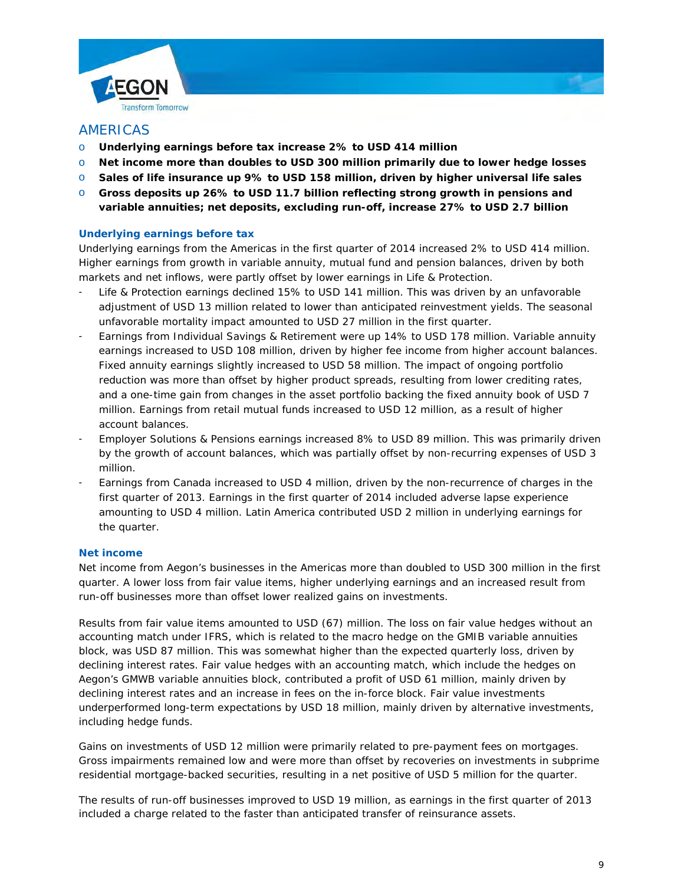



## AMERICAS

- o **Underlying earnings before tax increase 2% to USD 414 million**
- o **Net income more than doubles to USD 300 million primarily due to lower hedge losses**
- o **Sales of life insurance up 9% to USD 158 million, driven by higher universal life sales**
- o **Gross deposits up 26% to USD 11.7 billion reflecting strong growth in pensions and variable annuities; net deposits, excluding run-off, increase 27% to USD 2.7 billion**

## **Underlying earnings before tax**

Underlying earnings from the Americas in the first quarter of 2014 increased 2% to USD 414 million. Higher earnings from growth in variable annuity, mutual fund and pension balances, driven by both markets and net inflows, were partly offset by lower earnings in Life & Protection.

- Life & Protection earnings declined 15% to USD 141 million. This was driven by an unfavorable adjustment of USD 13 million related to lower than anticipated reinvestment yields. The seasonal unfavorable mortality impact amounted to USD 27 million in the first quarter.
- Earnings from Individual Savings & Retirement were up 14% to USD 178 million. Variable annuity earnings increased to USD 108 million, driven by higher fee income from higher account balances. Fixed annuity earnings slightly increased to USD 58 million. The impact of ongoing portfolio reduction was more than offset by higher product spreads, resulting from lower crediting rates, and a one-time gain from changes in the asset portfolio backing the fixed annuity book of USD 7 million. Earnings from retail mutual funds increased to USD 12 million, as a result of higher account balances.
- Employer Solutions & Pensions earnings increased 8% to USD 89 million. This was primarily driven by the growth of account balances, which was partially offset by non-recurring expenses of USD 3 million.
- Earnings from Canada increased to USD 4 million, driven by the non-recurrence of charges in the first quarter of 2013. Earnings in the first quarter of 2014 included adverse lapse experience amounting to USD 4 million. Latin America contributed USD 2 million in underlying earnings for the quarter.

### **Net income**

Net income from Aegon's businesses in the Americas more than doubled to USD 300 million in the first quarter. A lower loss from fair value items, higher underlying earnings and an increased result from run-off businesses more than offset lower realized gains on investments.

Results from fair value items amounted to USD (67) million. The loss on fair value hedges without an accounting match under IFRS, which is related to the macro hedge on the GMIB variable annuities block, was USD 87 million. This was somewhat higher than the expected quarterly loss, driven by declining interest rates. Fair value hedges with an accounting match, which include the hedges on Aegon's GMWB variable annuities block, contributed a profit of USD 61 million, mainly driven by declining interest rates and an increase in fees on the in-force block. Fair value investments underperformed long-term expectations by USD 18 million, mainly driven by alternative investments, including hedge funds.

Gains on investments of USD 12 million were primarily related to pre-payment fees on mortgages. Gross impairments remained low and were more than offset by recoveries on investments in subprime residential mortgage-backed securities, resulting in a net positive of USD 5 million for the quarter.

The results of run-off businesses improved to USD 19 million, as earnings in the first quarter of 2013 included a charge related to the faster than anticipated transfer of reinsurance assets.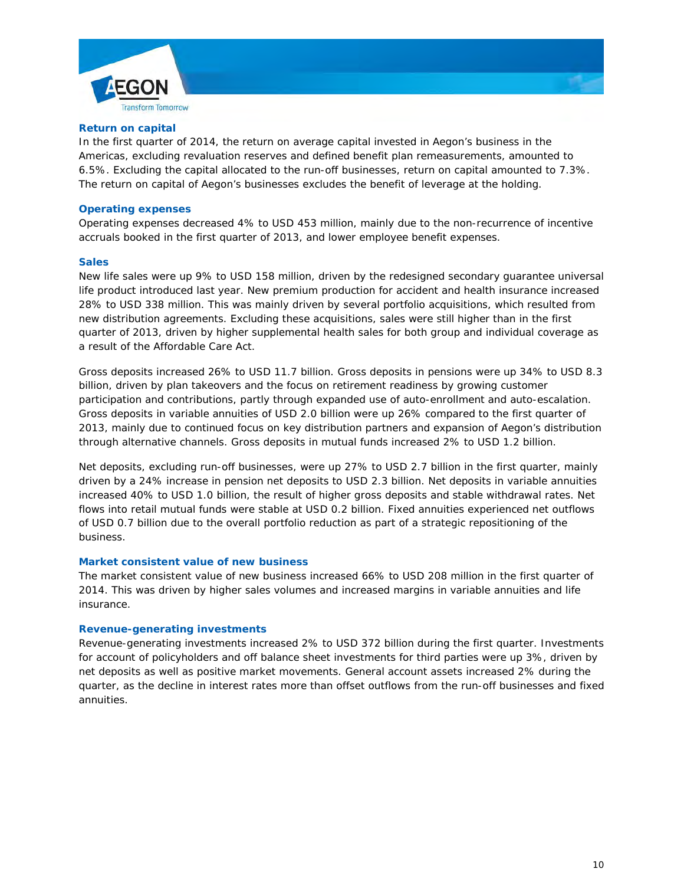



In the first quarter of 2014, the return on average capital invested in Aegon's business in the Americas, excluding revaluation reserves and defined benefit plan remeasurements, amounted to 6.5%. Excluding the capital allocated to the run-off businesses, return on capital amounted to 7.3%. The return on capital of Aegon's businesses excludes the benefit of leverage at the holding.

#### **Operating expenses**

Operating expenses decreased 4% to USD 453 million, mainly due to the non-recurrence of incentive accruals booked in the first quarter of 2013, and lower employee benefit expenses.

#### **Sales**

New life sales were up 9% to USD 158 million, driven by the redesigned secondary guarantee universal life product introduced last year. New premium production for accident and health insurance increased 28% to USD 338 million. This was mainly driven by several portfolio acquisitions, which resulted from new distribution agreements. Excluding these acquisitions, sales were still higher than in the first quarter of 2013, driven by higher supplemental health sales for both group and individual coverage as a result of the Affordable Care Act.

Gross deposits increased 26% to USD 11.7 billion. Gross deposits in pensions were up 34% to USD 8.3 billion, driven by plan takeovers and the focus on retirement readiness by growing customer participation and contributions, partly through expanded use of auto-enrollment and auto-escalation. Gross deposits in variable annuities of USD 2.0 billion were up 26% compared to the first quarter of 2013, mainly due to continued focus on key distribution partners and expansion of Aegon's distribution through alternative channels. Gross deposits in mutual funds increased 2% to USD 1.2 billion.

Net deposits, excluding run-off businesses, were up 27% to USD 2.7 billion in the first quarter, mainly driven by a 24% increase in pension net deposits to USD 2.3 billion. Net deposits in variable annuities increased 40% to USD 1.0 billion, the result of higher gross deposits and stable withdrawal rates. Net flows into retail mutual funds were stable at USD 0.2 billion. Fixed annuities experienced net outflows of USD 0.7 billion due to the overall portfolio reduction as part of a strategic repositioning of the business.

#### **Market consistent value of new business**

The market consistent value of new business increased 66% to USD 208 million in the first quarter of 2014. This was driven by higher sales volumes and increased margins in variable annuities and life insurance.

#### **Revenue-generating investments**

Revenue-generating investments increased 2% to USD 372 billion during the first quarter. Investments for account of policyholders and off balance sheet investments for third parties were up 3%, driven by net deposits as well as positive market movements. General account assets increased 2% during the quarter, as the decline in interest rates more than offset outflows from the run-off businesses and fixed annuities.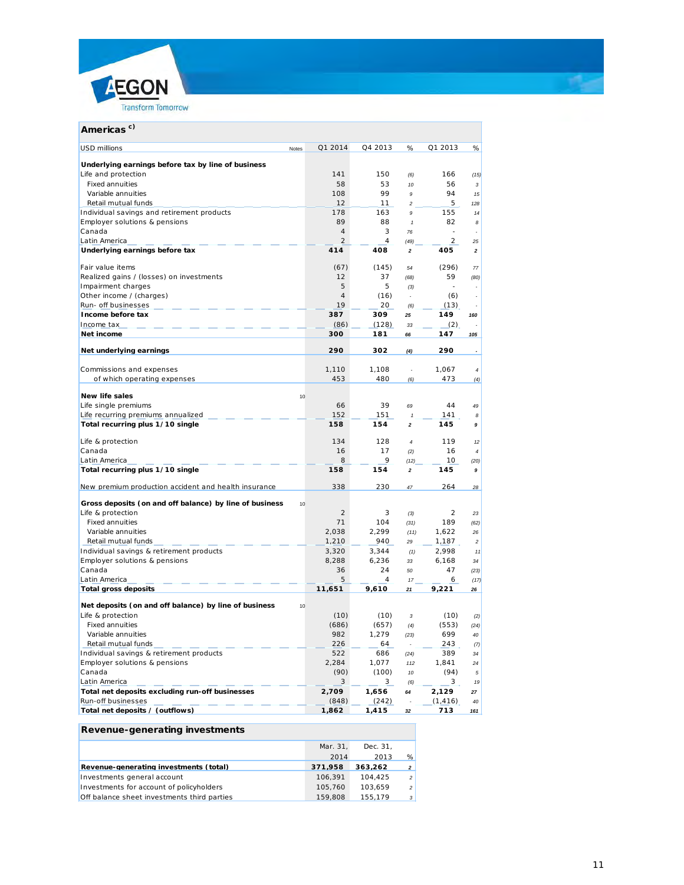

| Q1 2014<br>Q4 2013<br>Q1 2013<br>%<br>%<br><b>USD millions</b><br><b>Notes</b><br>Underlying earnings before tax by line of business<br>141<br>150<br>166<br>Life and protection<br>(6)<br>(15)<br>58<br><b>Fixed annuities</b><br>53<br>56<br>10<br>3<br>99<br>94<br>Variable annuities<br>108<br>15<br>9<br>Retail mutual funds<br>5<br>12<br>11<br>128<br>$\overline{\mathbf{c}}$<br>Individual savings and retirement products<br>163<br>155<br>178<br>14<br>9<br>Employer solutions & pensions<br>89<br>88<br>82<br>$\pmb{\mathcal{I}}$<br>8<br>$\overline{4}$<br>3<br>Canada<br>76<br>$\overline{2}$<br>4<br>2<br>Latin America<br>(49)<br>25<br>414<br>Underlying earnings before tax<br>408<br>405<br>2<br>2<br>Fair value items<br>(67)<br>(145)<br>(296)<br>54<br>77<br>Realized gains / (losses) on investments<br>12<br>37<br>59<br>(68)<br>(80)<br>5<br>Impairment charges<br>5<br>(3)<br>$\overline{\phantom{a}}$<br>Other income / (charges)<br>$\overline{4}$<br>(16)<br>(6)<br>÷,<br>19<br>Run- off businesses<br>20<br>(13)<br>(6)<br>387<br>149<br>Income before tax<br>309<br>25<br>160<br>Income tax<br>(86)<br>(128)<br>(2)<br>33<br>Net income<br>300<br>147<br>181<br>105<br>66<br>Net underlying earnings<br>290<br>302<br>290<br>(4)<br>Commissions and expenses<br>1,110<br>1,108<br>1,067<br>4<br>÷,<br>of which operating expenses<br>453<br>480<br>473<br>(6)<br>(4)<br><b>New life sales</b><br>10<br>Life single premiums<br>39<br>44<br>66<br>69<br>49<br>152<br>Life recurring premiums annualized<br>151<br>141<br>$\mathbf{1}$<br>8<br>Total recurring plus 1/10 single<br>158<br>154<br>145<br>$\overline{\mathbf{c}}$<br>9<br>Life & protection<br>134<br>128<br>119<br>$\overline{4}$<br>12<br>Canada<br>16<br>17<br>16<br>(2)<br>4<br>8<br>9<br>Latin America<br>10<br>(12)<br>(20)<br>Total recurring plus 1/10 single<br>158<br>154<br>145<br>2<br>9<br>New premium production accident and health insurance<br>338<br>230<br>264<br>47<br>28<br>Gross deposits (on and off balance) by line of business<br>10<br>Life & protection<br>2<br>3<br>2<br>23<br>(3)<br>71<br>189<br><b>Fixed annuities</b><br>104<br>(31)<br>(62)<br>Variable annuities<br>2,038<br>2,299<br>1,622<br>(11)<br>26<br>Retail mutual funds<br>1,210<br>940<br>1,187<br>29<br>$\overline{c}$<br>Individual savings & retirement products<br>2,998<br>3,320<br>3,344<br>(1)<br>11<br>Employer solutions & pensions<br>6,236<br>8,288<br>6,168<br>33<br>34<br>Canada<br>36<br>24<br>47<br>50<br>(23)<br>5<br>Latin America<br>4<br>6<br>17<br>(17)<br>11,651<br><b>Total gross deposits</b><br>9,610<br>9,221<br>21<br>26<br>Net deposits (on and off balance) by line of business<br>10<br>(10)<br>(10)<br>(10)<br>Life & protection<br>3<br>(2)<br>(686)<br>(553)<br><b>Fixed annuities</b><br>(657)<br>(4)<br>(24)<br>Variable annuities<br>982<br>1,279<br>699<br>40<br>(23)<br>Retail mutual funds<br>226<br>64<br>243<br>(7)<br>Individual savings & retirement products<br>522<br>686<br>389<br>34<br>(24)<br>Employer solutions & pensions<br>2,284<br>1,077<br>1,841<br>112<br>24<br>Canada<br>(90)<br>(100)<br>(94)<br>10<br>5<br>Latin America<br>3<br>3<br>3 <sub>1</sub><br>(6)<br>19<br>Total net deposits excluding run-off businesses<br>2,129<br>2,709<br>1,656<br>64<br>27<br>Run-off businesses<br>(848)<br>(242)<br>(1, 416)<br>40<br>Total net deposits / (outflows)<br>1,862<br>1,415<br>713<br>32<br>161 | c)<br><b>Americas</b> |  |  |  |
|-------------------------------------------------------------------------------------------------------------------------------------------------------------------------------------------------------------------------------------------------------------------------------------------------------------------------------------------------------------------------------------------------------------------------------------------------------------------------------------------------------------------------------------------------------------------------------------------------------------------------------------------------------------------------------------------------------------------------------------------------------------------------------------------------------------------------------------------------------------------------------------------------------------------------------------------------------------------------------------------------------------------------------------------------------------------------------------------------------------------------------------------------------------------------------------------------------------------------------------------------------------------------------------------------------------------------------------------------------------------------------------------------------------------------------------------------------------------------------------------------------------------------------------------------------------------------------------------------------------------------------------------------------------------------------------------------------------------------------------------------------------------------------------------------------------------------------------------------------------------------------------------------------------------------------------------------------------------------------------------------------------------------------------------------------------------------------------------------------------------------------------------------------------------------------------------------------------------------------------------------------------------------------------------------------------------------------------------------------------------------------------------------------------------------------------------------------------------------------------------------------------------------------------------------------------------------------------------------------------------------------------------------------------------------------------------------------------------------------------------------------------------------------------------------------------------------------------------------------------------------------------------------------------------------------------------------------------------------------------------------------------------------------------------------------------------------------------------------------------------------------------------------------------------------------------------------------------------------------------------------------------------------------------------------------------------------------------------------------------------------------------------------------------------------------------------------|-----------------------|--|--|--|
|                                                                                                                                                                                                                                                                                                                                                                                                                                                                                                                                                                                                                                                                                                                                                                                                                                                                                                                                                                                                                                                                                                                                                                                                                                                                                                                                                                                                                                                                                                                                                                                                                                                                                                                                                                                                                                                                                                                                                                                                                                                                                                                                                                                                                                                                                                                                                                                                                                                                                                                                                                                                                                                                                                                                                                                                                                                                                                                                                                                                                                                                                                                                                                                                                                                                                                                                                                                                                                                 |                       |  |  |  |
|                                                                                                                                                                                                                                                                                                                                                                                                                                                                                                                                                                                                                                                                                                                                                                                                                                                                                                                                                                                                                                                                                                                                                                                                                                                                                                                                                                                                                                                                                                                                                                                                                                                                                                                                                                                                                                                                                                                                                                                                                                                                                                                                                                                                                                                                                                                                                                                                                                                                                                                                                                                                                                                                                                                                                                                                                                                                                                                                                                                                                                                                                                                                                                                                                                                                                                                                                                                                                                                 |                       |  |  |  |
|                                                                                                                                                                                                                                                                                                                                                                                                                                                                                                                                                                                                                                                                                                                                                                                                                                                                                                                                                                                                                                                                                                                                                                                                                                                                                                                                                                                                                                                                                                                                                                                                                                                                                                                                                                                                                                                                                                                                                                                                                                                                                                                                                                                                                                                                                                                                                                                                                                                                                                                                                                                                                                                                                                                                                                                                                                                                                                                                                                                                                                                                                                                                                                                                                                                                                                                                                                                                                                                 |                       |  |  |  |
|                                                                                                                                                                                                                                                                                                                                                                                                                                                                                                                                                                                                                                                                                                                                                                                                                                                                                                                                                                                                                                                                                                                                                                                                                                                                                                                                                                                                                                                                                                                                                                                                                                                                                                                                                                                                                                                                                                                                                                                                                                                                                                                                                                                                                                                                                                                                                                                                                                                                                                                                                                                                                                                                                                                                                                                                                                                                                                                                                                                                                                                                                                                                                                                                                                                                                                                                                                                                                                                 |                       |  |  |  |
|                                                                                                                                                                                                                                                                                                                                                                                                                                                                                                                                                                                                                                                                                                                                                                                                                                                                                                                                                                                                                                                                                                                                                                                                                                                                                                                                                                                                                                                                                                                                                                                                                                                                                                                                                                                                                                                                                                                                                                                                                                                                                                                                                                                                                                                                                                                                                                                                                                                                                                                                                                                                                                                                                                                                                                                                                                                                                                                                                                                                                                                                                                                                                                                                                                                                                                                                                                                                                                                 |                       |  |  |  |
|                                                                                                                                                                                                                                                                                                                                                                                                                                                                                                                                                                                                                                                                                                                                                                                                                                                                                                                                                                                                                                                                                                                                                                                                                                                                                                                                                                                                                                                                                                                                                                                                                                                                                                                                                                                                                                                                                                                                                                                                                                                                                                                                                                                                                                                                                                                                                                                                                                                                                                                                                                                                                                                                                                                                                                                                                                                                                                                                                                                                                                                                                                                                                                                                                                                                                                                                                                                                                                                 |                       |  |  |  |
|                                                                                                                                                                                                                                                                                                                                                                                                                                                                                                                                                                                                                                                                                                                                                                                                                                                                                                                                                                                                                                                                                                                                                                                                                                                                                                                                                                                                                                                                                                                                                                                                                                                                                                                                                                                                                                                                                                                                                                                                                                                                                                                                                                                                                                                                                                                                                                                                                                                                                                                                                                                                                                                                                                                                                                                                                                                                                                                                                                                                                                                                                                                                                                                                                                                                                                                                                                                                                                                 |                       |  |  |  |
|                                                                                                                                                                                                                                                                                                                                                                                                                                                                                                                                                                                                                                                                                                                                                                                                                                                                                                                                                                                                                                                                                                                                                                                                                                                                                                                                                                                                                                                                                                                                                                                                                                                                                                                                                                                                                                                                                                                                                                                                                                                                                                                                                                                                                                                                                                                                                                                                                                                                                                                                                                                                                                                                                                                                                                                                                                                                                                                                                                                                                                                                                                                                                                                                                                                                                                                                                                                                                                                 |                       |  |  |  |
|                                                                                                                                                                                                                                                                                                                                                                                                                                                                                                                                                                                                                                                                                                                                                                                                                                                                                                                                                                                                                                                                                                                                                                                                                                                                                                                                                                                                                                                                                                                                                                                                                                                                                                                                                                                                                                                                                                                                                                                                                                                                                                                                                                                                                                                                                                                                                                                                                                                                                                                                                                                                                                                                                                                                                                                                                                                                                                                                                                                                                                                                                                                                                                                                                                                                                                                                                                                                                                                 |                       |  |  |  |
|                                                                                                                                                                                                                                                                                                                                                                                                                                                                                                                                                                                                                                                                                                                                                                                                                                                                                                                                                                                                                                                                                                                                                                                                                                                                                                                                                                                                                                                                                                                                                                                                                                                                                                                                                                                                                                                                                                                                                                                                                                                                                                                                                                                                                                                                                                                                                                                                                                                                                                                                                                                                                                                                                                                                                                                                                                                                                                                                                                                                                                                                                                                                                                                                                                                                                                                                                                                                                                                 |                       |  |  |  |
|                                                                                                                                                                                                                                                                                                                                                                                                                                                                                                                                                                                                                                                                                                                                                                                                                                                                                                                                                                                                                                                                                                                                                                                                                                                                                                                                                                                                                                                                                                                                                                                                                                                                                                                                                                                                                                                                                                                                                                                                                                                                                                                                                                                                                                                                                                                                                                                                                                                                                                                                                                                                                                                                                                                                                                                                                                                                                                                                                                                                                                                                                                                                                                                                                                                                                                                                                                                                                                                 |                       |  |  |  |
|                                                                                                                                                                                                                                                                                                                                                                                                                                                                                                                                                                                                                                                                                                                                                                                                                                                                                                                                                                                                                                                                                                                                                                                                                                                                                                                                                                                                                                                                                                                                                                                                                                                                                                                                                                                                                                                                                                                                                                                                                                                                                                                                                                                                                                                                                                                                                                                                                                                                                                                                                                                                                                                                                                                                                                                                                                                                                                                                                                                                                                                                                                                                                                                                                                                                                                                                                                                                                                                 |                       |  |  |  |
|                                                                                                                                                                                                                                                                                                                                                                                                                                                                                                                                                                                                                                                                                                                                                                                                                                                                                                                                                                                                                                                                                                                                                                                                                                                                                                                                                                                                                                                                                                                                                                                                                                                                                                                                                                                                                                                                                                                                                                                                                                                                                                                                                                                                                                                                                                                                                                                                                                                                                                                                                                                                                                                                                                                                                                                                                                                                                                                                                                                                                                                                                                                                                                                                                                                                                                                                                                                                                                                 |                       |  |  |  |
|                                                                                                                                                                                                                                                                                                                                                                                                                                                                                                                                                                                                                                                                                                                                                                                                                                                                                                                                                                                                                                                                                                                                                                                                                                                                                                                                                                                                                                                                                                                                                                                                                                                                                                                                                                                                                                                                                                                                                                                                                                                                                                                                                                                                                                                                                                                                                                                                                                                                                                                                                                                                                                                                                                                                                                                                                                                                                                                                                                                                                                                                                                                                                                                                                                                                                                                                                                                                                                                 |                       |  |  |  |
|                                                                                                                                                                                                                                                                                                                                                                                                                                                                                                                                                                                                                                                                                                                                                                                                                                                                                                                                                                                                                                                                                                                                                                                                                                                                                                                                                                                                                                                                                                                                                                                                                                                                                                                                                                                                                                                                                                                                                                                                                                                                                                                                                                                                                                                                                                                                                                                                                                                                                                                                                                                                                                                                                                                                                                                                                                                                                                                                                                                                                                                                                                                                                                                                                                                                                                                                                                                                                                                 |                       |  |  |  |
|                                                                                                                                                                                                                                                                                                                                                                                                                                                                                                                                                                                                                                                                                                                                                                                                                                                                                                                                                                                                                                                                                                                                                                                                                                                                                                                                                                                                                                                                                                                                                                                                                                                                                                                                                                                                                                                                                                                                                                                                                                                                                                                                                                                                                                                                                                                                                                                                                                                                                                                                                                                                                                                                                                                                                                                                                                                                                                                                                                                                                                                                                                                                                                                                                                                                                                                                                                                                                                                 |                       |  |  |  |
|                                                                                                                                                                                                                                                                                                                                                                                                                                                                                                                                                                                                                                                                                                                                                                                                                                                                                                                                                                                                                                                                                                                                                                                                                                                                                                                                                                                                                                                                                                                                                                                                                                                                                                                                                                                                                                                                                                                                                                                                                                                                                                                                                                                                                                                                                                                                                                                                                                                                                                                                                                                                                                                                                                                                                                                                                                                                                                                                                                                                                                                                                                                                                                                                                                                                                                                                                                                                                                                 |                       |  |  |  |
|                                                                                                                                                                                                                                                                                                                                                                                                                                                                                                                                                                                                                                                                                                                                                                                                                                                                                                                                                                                                                                                                                                                                                                                                                                                                                                                                                                                                                                                                                                                                                                                                                                                                                                                                                                                                                                                                                                                                                                                                                                                                                                                                                                                                                                                                                                                                                                                                                                                                                                                                                                                                                                                                                                                                                                                                                                                                                                                                                                                                                                                                                                                                                                                                                                                                                                                                                                                                                                                 |                       |  |  |  |
|                                                                                                                                                                                                                                                                                                                                                                                                                                                                                                                                                                                                                                                                                                                                                                                                                                                                                                                                                                                                                                                                                                                                                                                                                                                                                                                                                                                                                                                                                                                                                                                                                                                                                                                                                                                                                                                                                                                                                                                                                                                                                                                                                                                                                                                                                                                                                                                                                                                                                                                                                                                                                                                                                                                                                                                                                                                                                                                                                                                                                                                                                                                                                                                                                                                                                                                                                                                                                                                 |                       |  |  |  |
|                                                                                                                                                                                                                                                                                                                                                                                                                                                                                                                                                                                                                                                                                                                                                                                                                                                                                                                                                                                                                                                                                                                                                                                                                                                                                                                                                                                                                                                                                                                                                                                                                                                                                                                                                                                                                                                                                                                                                                                                                                                                                                                                                                                                                                                                                                                                                                                                                                                                                                                                                                                                                                                                                                                                                                                                                                                                                                                                                                                                                                                                                                                                                                                                                                                                                                                                                                                                                                                 |                       |  |  |  |
|                                                                                                                                                                                                                                                                                                                                                                                                                                                                                                                                                                                                                                                                                                                                                                                                                                                                                                                                                                                                                                                                                                                                                                                                                                                                                                                                                                                                                                                                                                                                                                                                                                                                                                                                                                                                                                                                                                                                                                                                                                                                                                                                                                                                                                                                                                                                                                                                                                                                                                                                                                                                                                                                                                                                                                                                                                                                                                                                                                                                                                                                                                                                                                                                                                                                                                                                                                                                                                                 |                       |  |  |  |
|                                                                                                                                                                                                                                                                                                                                                                                                                                                                                                                                                                                                                                                                                                                                                                                                                                                                                                                                                                                                                                                                                                                                                                                                                                                                                                                                                                                                                                                                                                                                                                                                                                                                                                                                                                                                                                                                                                                                                                                                                                                                                                                                                                                                                                                                                                                                                                                                                                                                                                                                                                                                                                                                                                                                                                                                                                                                                                                                                                                                                                                                                                                                                                                                                                                                                                                                                                                                                                                 |                       |  |  |  |
|                                                                                                                                                                                                                                                                                                                                                                                                                                                                                                                                                                                                                                                                                                                                                                                                                                                                                                                                                                                                                                                                                                                                                                                                                                                                                                                                                                                                                                                                                                                                                                                                                                                                                                                                                                                                                                                                                                                                                                                                                                                                                                                                                                                                                                                                                                                                                                                                                                                                                                                                                                                                                                                                                                                                                                                                                                                                                                                                                                                                                                                                                                                                                                                                                                                                                                                                                                                                                                                 |                       |  |  |  |
|                                                                                                                                                                                                                                                                                                                                                                                                                                                                                                                                                                                                                                                                                                                                                                                                                                                                                                                                                                                                                                                                                                                                                                                                                                                                                                                                                                                                                                                                                                                                                                                                                                                                                                                                                                                                                                                                                                                                                                                                                                                                                                                                                                                                                                                                                                                                                                                                                                                                                                                                                                                                                                                                                                                                                                                                                                                                                                                                                                                                                                                                                                                                                                                                                                                                                                                                                                                                                                                 |                       |  |  |  |
|                                                                                                                                                                                                                                                                                                                                                                                                                                                                                                                                                                                                                                                                                                                                                                                                                                                                                                                                                                                                                                                                                                                                                                                                                                                                                                                                                                                                                                                                                                                                                                                                                                                                                                                                                                                                                                                                                                                                                                                                                                                                                                                                                                                                                                                                                                                                                                                                                                                                                                                                                                                                                                                                                                                                                                                                                                                                                                                                                                                                                                                                                                                                                                                                                                                                                                                                                                                                                                                 |                       |  |  |  |
|                                                                                                                                                                                                                                                                                                                                                                                                                                                                                                                                                                                                                                                                                                                                                                                                                                                                                                                                                                                                                                                                                                                                                                                                                                                                                                                                                                                                                                                                                                                                                                                                                                                                                                                                                                                                                                                                                                                                                                                                                                                                                                                                                                                                                                                                                                                                                                                                                                                                                                                                                                                                                                                                                                                                                                                                                                                                                                                                                                                                                                                                                                                                                                                                                                                                                                                                                                                                                                                 |                       |  |  |  |
|                                                                                                                                                                                                                                                                                                                                                                                                                                                                                                                                                                                                                                                                                                                                                                                                                                                                                                                                                                                                                                                                                                                                                                                                                                                                                                                                                                                                                                                                                                                                                                                                                                                                                                                                                                                                                                                                                                                                                                                                                                                                                                                                                                                                                                                                                                                                                                                                                                                                                                                                                                                                                                                                                                                                                                                                                                                                                                                                                                                                                                                                                                                                                                                                                                                                                                                                                                                                                                                 |                       |  |  |  |
|                                                                                                                                                                                                                                                                                                                                                                                                                                                                                                                                                                                                                                                                                                                                                                                                                                                                                                                                                                                                                                                                                                                                                                                                                                                                                                                                                                                                                                                                                                                                                                                                                                                                                                                                                                                                                                                                                                                                                                                                                                                                                                                                                                                                                                                                                                                                                                                                                                                                                                                                                                                                                                                                                                                                                                                                                                                                                                                                                                                                                                                                                                                                                                                                                                                                                                                                                                                                                                                 |                       |  |  |  |
|                                                                                                                                                                                                                                                                                                                                                                                                                                                                                                                                                                                                                                                                                                                                                                                                                                                                                                                                                                                                                                                                                                                                                                                                                                                                                                                                                                                                                                                                                                                                                                                                                                                                                                                                                                                                                                                                                                                                                                                                                                                                                                                                                                                                                                                                                                                                                                                                                                                                                                                                                                                                                                                                                                                                                                                                                                                                                                                                                                                                                                                                                                                                                                                                                                                                                                                                                                                                                                                 |                       |  |  |  |
|                                                                                                                                                                                                                                                                                                                                                                                                                                                                                                                                                                                                                                                                                                                                                                                                                                                                                                                                                                                                                                                                                                                                                                                                                                                                                                                                                                                                                                                                                                                                                                                                                                                                                                                                                                                                                                                                                                                                                                                                                                                                                                                                                                                                                                                                                                                                                                                                                                                                                                                                                                                                                                                                                                                                                                                                                                                                                                                                                                                                                                                                                                                                                                                                                                                                                                                                                                                                                                                 |                       |  |  |  |
|                                                                                                                                                                                                                                                                                                                                                                                                                                                                                                                                                                                                                                                                                                                                                                                                                                                                                                                                                                                                                                                                                                                                                                                                                                                                                                                                                                                                                                                                                                                                                                                                                                                                                                                                                                                                                                                                                                                                                                                                                                                                                                                                                                                                                                                                                                                                                                                                                                                                                                                                                                                                                                                                                                                                                                                                                                                                                                                                                                                                                                                                                                                                                                                                                                                                                                                                                                                                                                                 |                       |  |  |  |
|                                                                                                                                                                                                                                                                                                                                                                                                                                                                                                                                                                                                                                                                                                                                                                                                                                                                                                                                                                                                                                                                                                                                                                                                                                                                                                                                                                                                                                                                                                                                                                                                                                                                                                                                                                                                                                                                                                                                                                                                                                                                                                                                                                                                                                                                                                                                                                                                                                                                                                                                                                                                                                                                                                                                                                                                                                                                                                                                                                                                                                                                                                                                                                                                                                                                                                                                                                                                                                                 |                       |  |  |  |
|                                                                                                                                                                                                                                                                                                                                                                                                                                                                                                                                                                                                                                                                                                                                                                                                                                                                                                                                                                                                                                                                                                                                                                                                                                                                                                                                                                                                                                                                                                                                                                                                                                                                                                                                                                                                                                                                                                                                                                                                                                                                                                                                                                                                                                                                                                                                                                                                                                                                                                                                                                                                                                                                                                                                                                                                                                                                                                                                                                                                                                                                                                                                                                                                                                                                                                                                                                                                                                                 |                       |  |  |  |
|                                                                                                                                                                                                                                                                                                                                                                                                                                                                                                                                                                                                                                                                                                                                                                                                                                                                                                                                                                                                                                                                                                                                                                                                                                                                                                                                                                                                                                                                                                                                                                                                                                                                                                                                                                                                                                                                                                                                                                                                                                                                                                                                                                                                                                                                                                                                                                                                                                                                                                                                                                                                                                                                                                                                                                                                                                                                                                                                                                                                                                                                                                                                                                                                                                                                                                                                                                                                                                                 |                       |  |  |  |
|                                                                                                                                                                                                                                                                                                                                                                                                                                                                                                                                                                                                                                                                                                                                                                                                                                                                                                                                                                                                                                                                                                                                                                                                                                                                                                                                                                                                                                                                                                                                                                                                                                                                                                                                                                                                                                                                                                                                                                                                                                                                                                                                                                                                                                                                                                                                                                                                                                                                                                                                                                                                                                                                                                                                                                                                                                                                                                                                                                                                                                                                                                                                                                                                                                                                                                                                                                                                                                                 |                       |  |  |  |
|                                                                                                                                                                                                                                                                                                                                                                                                                                                                                                                                                                                                                                                                                                                                                                                                                                                                                                                                                                                                                                                                                                                                                                                                                                                                                                                                                                                                                                                                                                                                                                                                                                                                                                                                                                                                                                                                                                                                                                                                                                                                                                                                                                                                                                                                                                                                                                                                                                                                                                                                                                                                                                                                                                                                                                                                                                                                                                                                                                                                                                                                                                                                                                                                                                                                                                                                                                                                                                                 |                       |  |  |  |
|                                                                                                                                                                                                                                                                                                                                                                                                                                                                                                                                                                                                                                                                                                                                                                                                                                                                                                                                                                                                                                                                                                                                                                                                                                                                                                                                                                                                                                                                                                                                                                                                                                                                                                                                                                                                                                                                                                                                                                                                                                                                                                                                                                                                                                                                                                                                                                                                                                                                                                                                                                                                                                                                                                                                                                                                                                                                                                                                                                                                                                                                                                                                                                                                                                                                                                                                                                                                                                                 |                       |  |  |  |
|                                                                                                                                                                                                                                                                                                                                                                                                                                                                                                                                                                                                                                                                                                                                                                                                                                                                                                                                                                                                                                                                                                                                                                                                                                                                                                                                                                                                                                                                                                                                                                                                                                                                                                                                                                                                                                                                                                                                                                                                                                                                                                                                                                                                                                                                                                                                                                                                                                                                                                                                                                                                                                                                                                                                                                                                                                                                                                                                                                                                                                                                                                                                                                                                                                                                                                                                                                                                                                                 |                       |  |  |  |
|                                                                                                                                                                                                                                                                                                                                                                                                                                                                                                                                                                                                                                                                                                                                                                                                                                                                                                                                                                                                                                                                                                                                                                                                                                                                                                                                                                                                                                                                                                                                                                                                                                                                                                                                                                                                                                                                                                                                                                                                                                                                                                                                                                                                                                                                                                                                                                                                                                                                                                                                                                                                                                                                                                                                                                                                                                                                                                                                                                                                                                                                                                                                                                                                                                                                                                                                                                                                                                                 |                       |  |  |  |
|                                                                                                                                                                                                                                                                                                                                                                                                                                                                                                                                                                                                                                                                                                                                                                                                                                                                                                                                                                                                                                                                                                                                                                                                                                                                                                                                                                                                                                                                                                                                                                                                                                                                                                                                                                                                                                                                                                                                                                                                                                                                                                                                                                                                                                                                                                                                                                                                                                                                                                                                                                                                                                                                                                                                                                                                                                                                                                                                                                                                                                                                                                                                                                                                                                                                                                                                                                                                                                                 |                       |  |  |  |
|                                                                                                                                                                                                                                                                                                                                                                                                                                                                                                                                                                                                                                                                                                                                                                                                                                                                                                                                                                                                                                                                                                                                                                                                                                                                                                                                                                                                                                                                                                                                                                                                                                                                                                                                                                                                                                                                                                                                                                                                                                                                                                                                                                                                                                                                                                                                                                                                                                                                                                                                                                                                                                                                                                                                                                                                                                                                                                                                                                                                                                                                                                                                                                                                                                                                                                                                                                                                                                                 |                       |  |  |  |
|                                                                                                                                                                                                                                                                                                                                                                                                                                                                                                                                                                                                                                                                                                                                                                                                                                                                                                                                                                                                                                                                                                                                                                                                                                                                                                                                                                                                                                                                                                                                                                                                                                                                                                                                                                                                                                                                                                                                                                                                                                                                                                                                                                                                                                                                                                                                                                                                                                                                                                                                                                                                                                                                                                                                                                                                                                                                                                                                                                                                                                                                                                                                                                                                                                                                                                                                                                                                                                                 |                       |  |  |  |
|                                                                                                                                                                                                                                                                                                                                                                                                                                                                                                                                                                                                                                                                                                                                                                                                                                                                                                                                                                                                                                                                                                                                                                                                                                                                                                                                                                                                                                                                                                                                                                                                                                                                                                                                                                                                                                                                                                                                                                                                                                                                                                                                                                                                                                                                                                                                                                                                                                                                                                                                                                                                                                                                                                                                                                                                                                                                                                                                                                                                                                                                                                                                                                                                                                                                                                                                                                                                                                                 |                       |  |  |  |
|                                                                                                                                                                                                                                                                                                                                                                                                                                                                                                                                                                                                                                                                                                                                                                                                                                                                                                                                                                                                                                                                                                                                                                                                                                                                                                                                                                                                                                                                                                                                                                                                                                                                                                                                                                                                                                                                                                                                                                                                                                                                                                                                                                                                                                                                                                                                                                                                                                                                                                                                                                                                                                                                                                                                                                                                                                                                                                                                                                                                                                                                                                                                                                                                                                                                                                                                                                                                                                                 |                       |  |  |  |
|                                                                                                                                                                                                                                                                                                                                                                                                                                                                                                                                                                                                                                                                                                                                                                                                                                                                                                                                                                                                                                                                                                                                                                                                                                                                                                                                                                                                                                                                                                                                                                                                                                                                                                                                                                                                                                                                                                                                                                                                                                                                                                                                                                                                                                                                                                                                                                                                                                                                                                                                                                                                                                                                                                                                                                                                                                                                                                                                                                                                                                                                                                                                                                                                                                                                                                                                                                                                                                                 |                       |  |  |  |
|                                                                                                                                                                                                                                                                                                                                                                                                                                                                                                                                                                                                                                                                                                                                                                                                                                                                                                                                                                                                                                                                                                                                                                                                                                                                                                                                                                                                                                                                                                                                                                                                                                                                                                                                                                                                                                                                                                                                                                                                                                                                                                                                                                                                                                                                                                                                                                                                                                                                                                                                                                                                                                                                                                                                                                                                                                                                                                                                                                                                                                                                                                                                                                                                                                                                                                                                                                                                                                                 |                       |  |  |  |
|                                                                                                                                                                                                                                                                                                                                                                                                                                                                                                                                                                                                                                                                                                                                                                                                                                                                                                                                                                                                                                                                                                                                                                                                                                                                                                                                                                                                                                                                                                                                                                                                                                                                                                                                                                                                                                                                                                                                                                                                                                                                                                                                                                                                                                                                                                                                                                                                                                                                                                                                                                                                                                                                                                                                                                                                                                                                                                                                                                                                                                                                                                                                                                                                                                                                                                                                                                                                                                                 |                       |  |  |  |
|                                                                                                                                                                                                                                                                                                                                                                                                                                                                                                                                                                                                                                                                                                                                                                                                                                                                                                                                                                                                                                                                                                                                                                                                                                                                                                                                                                                                                                                                                                                                                                                                                                                                                                                                                                                                                                                                                                                                                                                                                                                                                                                                                                                                                                                                                                                                                                                                                                                                                                                                                                                                                                                                                                                                                                                                                                                                                                                                                                                                                                                                                                                                                                                                                                                                                                                                                                                                                                                 |                       |  |  |  |
|                                                                                                                                                                                                                                                                                                                                                                                                                                                                                                                                                                                                                                                                                                                                                                                                                                                                                                                                                                                                                                                                                                                                                                                                                                                                                                                                                                                                                                                                                                                                                                                                                                                                                                                                                                                                                                                                                                                                                                                                                                                                                                                                                                                                                                                                                                                                                                                                                                                                                                                                                                                                                                                                                                                                                                                                                                                                                                                                                                                                                                                                                                                                                                                                                                                                                                                                                                                                                                                 |                       |  |  |  |
|                                                                                                                                                                                                                                                                                                                                                                                                                                                                                                                                                                                                                                                                                                                                                                                                                                                                                                                                                                                                                                                                                                                                                                                                                                                                                                                                                                                                                                                                                                                                                                                                                                                                                                                                                                                                                                                                                                                                                                                                                                                                                                                                                                                                                                                                                                                                                                                                                                                                                                                                                                                                                                                                                                                                                                                                                                                                                                                                                                                                                                                                                                                                                                                                                                                                                                                                                                                                                                                 |                       |  |  |  |
|                                                                                                                                                                                                                                                                                                                                                                                                                                                                                                                                                                                                                                                                                                                                                                                                                                                                                                                                                                                                                                                                                                                                                                                                                                                                                                                                                                                                                                                                                                                                                                                                                                                                                                                                                                                                                                                                                                                                                                                                                                                                                                                                                                                                                                                                                                                                                                                                                                                                                                                                                                                                                                                                                                                                                                                                                                                                                                                                                                                                                                                                                                                                                                                                                                                                                                                                                                                                                                                 |                       |  |  |  |
|                                                                                                                                                                                                                                                                                                                                                                                                                                                                                                                                                                                                                                                                                                                                                                                                                                                                                                                                                                                                                                                                                                                                                                                                                                                                                                                                                                                                                                                                                                                                                                                                                                                                                                                                                                                                                                                                                                                                                                                                                                                                                                                                                                                                                                                                                                                                                                                                                                                                                                                                                                                                                                                                                                                                                                                                                                                                                                                                                                                                                                                                                                                                                                                                                                                                                                                                                                                                                                                 |                       |  |  |  |
|                                                                                                                                                                                                                                                                                                                                                                                                                                                                                                                                                                                                                                                                                                                                                                                                                                                                                                                                                                                                                                                                                                                                                                                                                                                                                                                                                                                                                                                                                                                                                                                                                                                                                                                                                                                                                                                                                                                                                                                                                                                                                                                                                                                                                                                                                                                                                                                                                                                                                                                                                                                                                                                                                                                                                                                                                                                                                                                                                                                                                                                                                                                                                                                                                                                                                                                                                                                                                                                 |                       |  |  |  |

### **Revenue-generating investments**

|                                             | Mar. 31. | Dec. 31. |                          |
|---------------------------------------------|----------|----------|--------------------------|
|                                             | 2014     | 2013     | %                        |
| Revenue-generating investments (total)      | 371.958  | 363.262  | $\overline{2}$           |
| Investments general account                 | 106.391  | 104.425  | $\overline{\phantom{a}}$ |
| Investments for account of policyholders    | 105,760  | 103.659  | $\overline{\phantom{a}}$ |
| Off balance sheet investments third parties | 159,808  | 155.179  | $\mathcal{R}$            |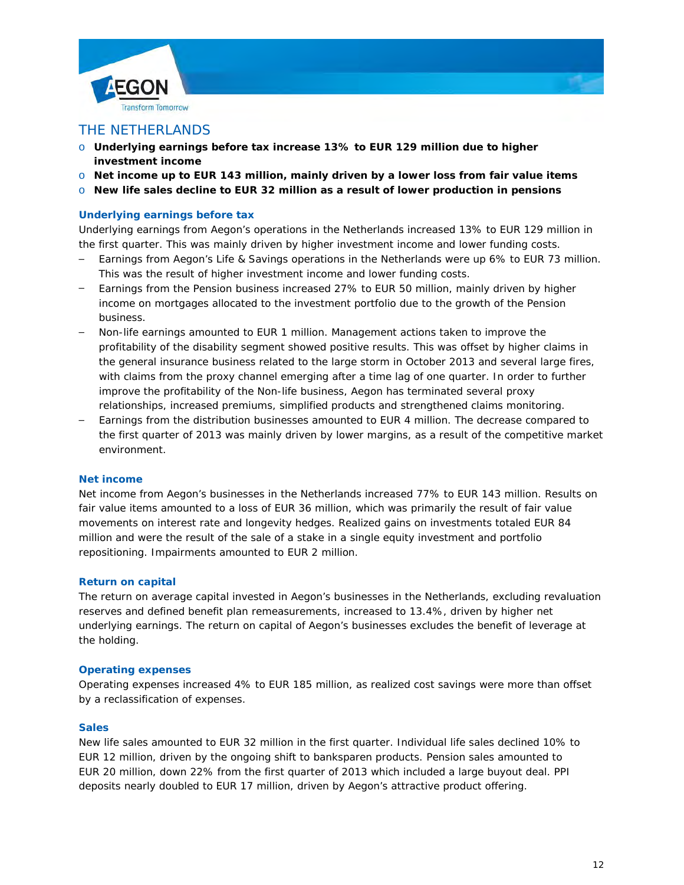



## THE NETHERLANDS

- o **Underlying earnings before tax increase 13% to EUR 129 million due to higher investment income**
- o **Net income up to EUR 143 million, mainly driven by a lower loss from fair value items**
- o **New life sales decline to EUR 32 million as a result of lower production in pensions**

### **Underlying earnings before tax**

Underlying earnings from Aegon's operations in the Netherlands increased 13% to EUR 129 million in the first quarter. This was mainly driven by higher investment income and lower funding costs.

- Earnings from Aegon's Life & Savings operations in the Netherlands were up 6% to EUR 73 million. This was the result of higher investment income and lower funding costs.
- Earnings from the Pension business increased 27% to EUR 50 million, mainly driven by higher income on mortgages allocated to the investment portfolio due to the growth of the Pension business.
- Non-life earnings amounted to EUR 1 million. Management actions taken to improve the profitability of the disability segment showed positive results. This was offset by higher claims in the general insurance business related to the large storm in October 2013 and several large fires, with claims from the proxy channel emerging after a time lag of one quarter. In order to further improve the profitability of the Non-life business, Aegon has terminated several proxy relationships, increased premiums, simplified products and strengthened claims monitoring.
- Earnings from the distribution businesses amounted to EUR 4 million. The decrease compared to the first quarter of 2013 was mainly driven by lower margins, as a result of the competitive market environment.

### **Net income**

Net income from Aegon's businesses in the Netherlands increased 77% to EUR 143 million. Results on fair value items amounted to a loss of EUR 36 million, which was primarily the result of fair value movements on interest rate and longevity hedges. Realized gains on investments totaled EUR 84 million and were the result of the sale of a stake in a single equity investment and portfolio repositioning. Impairments amounted to EUR 2 million.

#### **Return on capital**

The return on average capital invested in Aegon's businesses in the Netherlands, excluding revaluation reserves and defined benefit plan remeasurements, increased to 13.4%, driven by higher net underlying earnings. The return on capital of Aegon's businesses excludes the benefit of leverage at the holding.

#### **Operating expenses**

Operating expenses increased 4% to EUR 185 million, as realized cost savings were more than offset by a reclassification of expenses.

#### **Sales**

New life sales amounted to EUR 32 million in the first quarter. Individual life sales declined 10% to EUR 12 million, driven by the ongoing shift to *banksparen* products. Pension sales amounted to EUR 20 million, down 22% from the first quarter of 2013 which included a large buyout deal. PPI deposits nearly doubled to EUR 17 million, driven by Aegon's attractive product offering.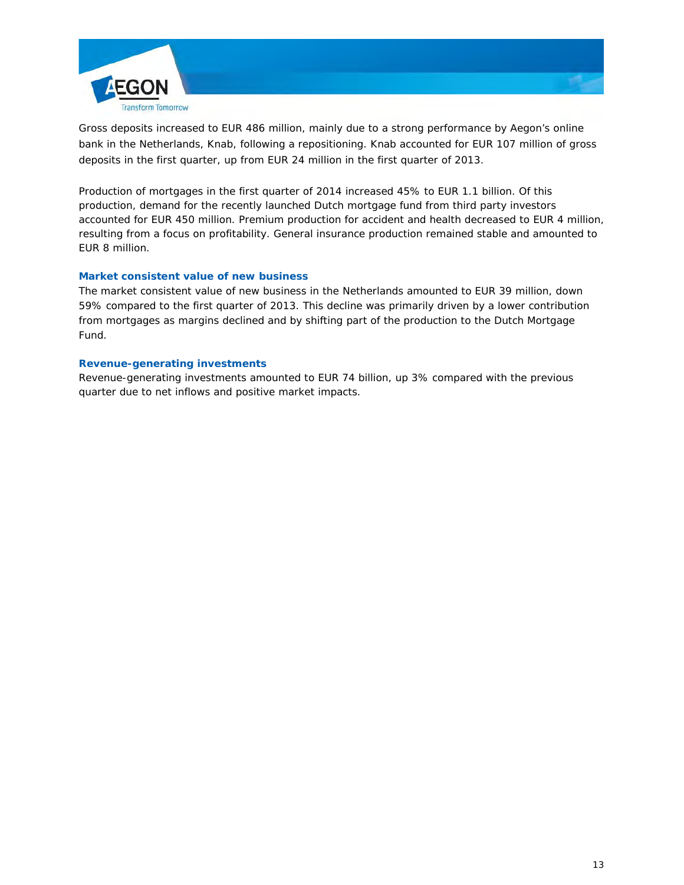

Gross deposits increased to EUR 486 million, mainly due to a strong performance by Aegon's online bank in the Netherlands, Knab, following a repositioning. Knab accounted for EUR 107 million of gross deposits in the first quarter, up from EUR 24 million in the first quarter of 2013.

Production of mortgages in the first quarter of 2014 increased 45% to EUR 1.1 billion. Of this production, demand for the recently launched Dutch mortgage fund from third party investors accounted for EUR 450 million. Premium production for accident and health decreased to EUR 4 million, resulting from a focus on profitability. General insurance production remained stable and amounted to EUR 8 million.

# **Market consistent value of new business**

The market consistent value of new business in the Netherlands amounted to EUR 39 million, down 59% compared to the first quarter of 2013. This decline was primarily driven by a lower contribution from mortgages as margins declined and by shifting part of the production to the Dutch Mortgage Fund.

### **Revenue-generating investments**

Revenue-generating investments amounted to EUR 74 billion, up 3% compared with the previous quarter due to net inflows and positive market impacts.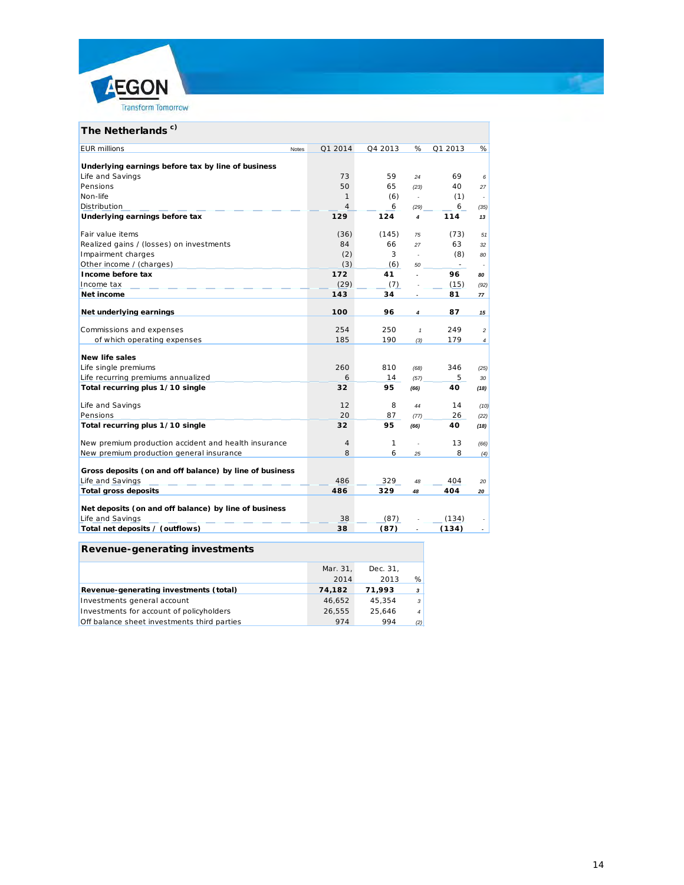



# The Netherlands<sup>c)</sup>

| <b>EUR</b> millions<br>Notes                            | Q1 2014 | Q4 2013 | %                | Q1 2013                  | %              |
|---------------------------------------------------------|---------|---------|------------------|--------------------------|----------------|
|                                                         |         |         |                  |                          |                |
| Underlying earnings before tax by line of business      |         |         |                  |                          |                |
| Life and Savings                                        | 73      | 59      | 24               | 69                       | 6              |
| Pensions                                                | 50      | 65      | (23)             | 40                       | 27             |
| Non-life                                                | 1       | (6)     | $\mathbf{r}$     | (1)                      | ÷.             |
| Distribution                                            | 4       | 6       | (29)             | 6                        | (35)           |
| Underlying earnings before tax                          | 129     | 124     | $\boldsymbol{4}$ | 114                      | 13             |
| Fair value items                                        | (36)    | (145)   | 75               | (73)                     | 51             |
| Realized gains / (losses) on investments                | 84      | 66      | 27               | 63                       | 32             |
| Impairment charges                                      | (2)     | 3       | $\overline{a}$   | (8)                      | 80             |
| Other income / (charges)                                | (3)     | (6)     | 50               | $\overline{\phantom{a}}$ |                |
| Income before tax                                       | 172     | 41      | $\overline{a}$   | 96                       | 80             |
| Income tax                                              | (29)    | (7)     |                  | (15)                     | (92)           |
| Net income                                              | 143     | 34      |                  | 81                       | 77             |
| Net underlying earnings                                 | 100     | 96      | $\overline{4}$   | 87                       | 15             |
| Commissions and expenses                                | 254     | 250     | $\mathbf{1}$     | 249                      | $\overline{c}$ |
| of which operating expenses                             | 185     | 190     | (3)              | 179                      | $\overline{4}$ |
|                                                         |         |         |                  |                          |                |
| <b>New life sales</b>                                   |         |         |                  |                          |                |
| Life single premiums                                    | 260     | 810     | (68)             | 346                      | (25)           |
| Life recurring premiums annualized                      | 6       | 14      | (57)             | 5                        | 30             |
| Total recurring plus 1/10 single                        | 32      | 95      | (66)             | 40                       | (18)           |
| Life and Savings                                        | 12      | 8       | 44               | 14                       | (10)           |
| Pensions                                                | 20      | 87      | (77)             | 26                       | (22)           |
| Total recurring plus 1/10 single                        | 32      | 95      | (66)             | 40                       | (18)           |
| New premium production accident and health insurance    | 4       | 1       |                  | 13                       | (66)           |
| New premium production general insurance                | 8       | 6       | 25               | 8                        | (4)            |
| Gross deposits (on and off balance) by line of business |         |         |                  |                          |                |
| Life and Savings                                        | 486     | 329     | 48               | 404                      | 20             |
| <b>Total gross deposits</b>                             | 486     | 329     | 48               | 404                      | 20             |
|                                                         |         |         |                  |                          |                |
| Net deposits (on and off balance) by line of business   |         |         |                  |                          |                |
| Life and Savings                                        | 38      | (87)    |                  | (134)                    |                |
| Total net deposits / (outflows)                         | 38      | (87)    |                  | (134)                    |                |

## **Revenue-generating investments**

|                                             | Mar. 31, | Dec. 31. |                |
|---------------------------------------------|----------|----------|----------------|
|                                             | 2014     | 2013     | %              |
| Revenue-generating investments (total)      | 74,182   | 71.993   | $\mathbf{3}$   |
| Investments general account                 | 46,652   | 45.354   | $\cdot$ 3      |
| Investments for account of policyholders    | 26.555   | 25.646   | $\overline{4}$ |
| Off balance sheet investments third parties | 974      | 994      | (2)            |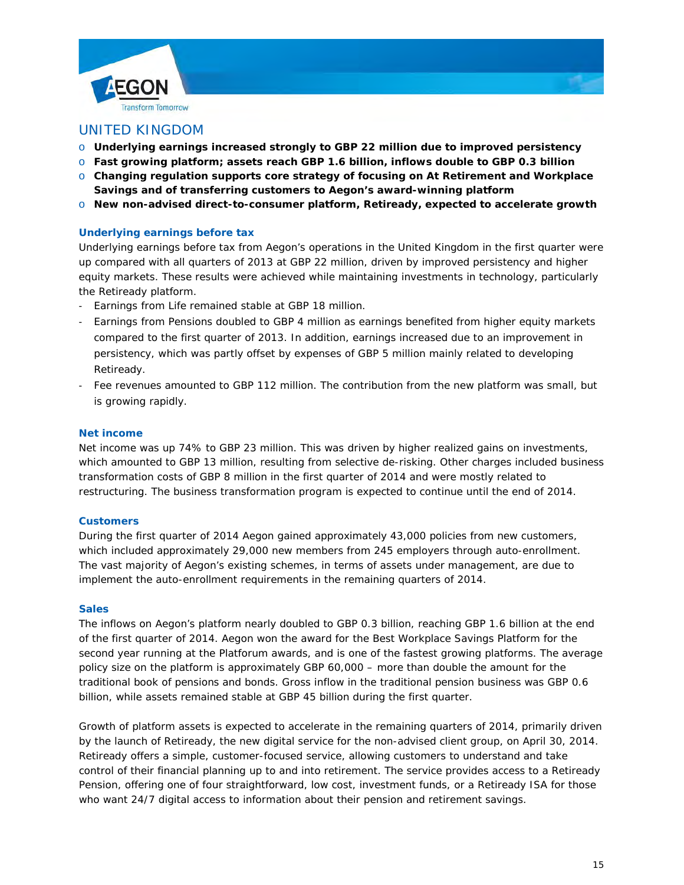



- o **Underlying earnings increased strongly to GBP 22 million due to improved persistency**
- o **Fast growing platform; assets reach GBP 1.6 billion, inflows double to GBP 0.3 billion**
- o **Changing regulation supports core strategy of focusing on At Retirement and Workplace Savings and of transferring customers to Aegon's award-winning platform**
- o **New non-advised direct-to-consumer platform, Retiready, expected to accelerate growth**

### **Underlying earnings before tax**

Underlying earnings before tax from Aegon's operations in the United Kingdom in the first quarter were up compared with all quarters of 2013 at GBP 22 million, driven by improved persistency and higher equity markets. These results were achieved while maintaining investments in technology, particularly the Retiready platform.

- Earnings from Life remained stable at GBP 18 million.
- Earnings from Pensions doubled to GBP 4 million as earnings benefited from higher equity markets compared to the first quarter of 2013. In addition, earnings increased due to an improvement in persistency, which was partly offset by expenses of GBP 5 million mainly related to developing Retiready.
- Fee revenues amounted to GBP 112 million. The contribution from the new platform was small, but is growing rapidly.

#### **Net income**

Net income was up 74% to GBP 23 million. This was driven by higher realized gains on investments, which amounted to GBP 13 million, resulting from selective de-risking. Other charges included business transformation costs of GBP 8 million in the first quarter of 2014 and were mostly related to restructuring. The business transformation program is expected to continue until the end of 2014.

#### **Customers**

During the first quarter of 2014 Aegon gained approximately 43,000 policies from new customers, which included approximately 29,000 new members from 245 employers through auto-enrollment. The vast majority of Aegon's existing schemes, in terms of assets under management, are due to implement the auto-enrollment requirements in the remaining quarters of 2014.

#### **Sales**

The inflows on Aegon's platform nearly doubled to GBP 0.3 billion, reaching GBP 1.6 billion at the end of the first quarter of 2014. Aegon won the award for the Best Workplace Savings Platform for the second year running at the Platforum awards, and is one of the fastest growing platforms. The average policy size on the platform is approximately GBP 60,000 – more than double the amount for the traditional book of pensions and bonds. Gross inflow in the traditional pension business was GBP 0.6 billion, while assets remained stable at GBP 45 billion during the first quarter.

Growth of platform assets is expected to accelerate in the remaining quarters of 2014, primarily driven by the launch of Retiready, the new digital service for the non-advised client group, on April 30, 2014. Retiready offers a simple, customer-focused service, allowing customers to understand and take control of their financial planning up to and into retirement. The service provides access to a Retiready Pension, offering one of four straightforward, low cost, investment funds, or a Retiready ISA for those who want 24/7 digital access to information about their pension and retirement savings.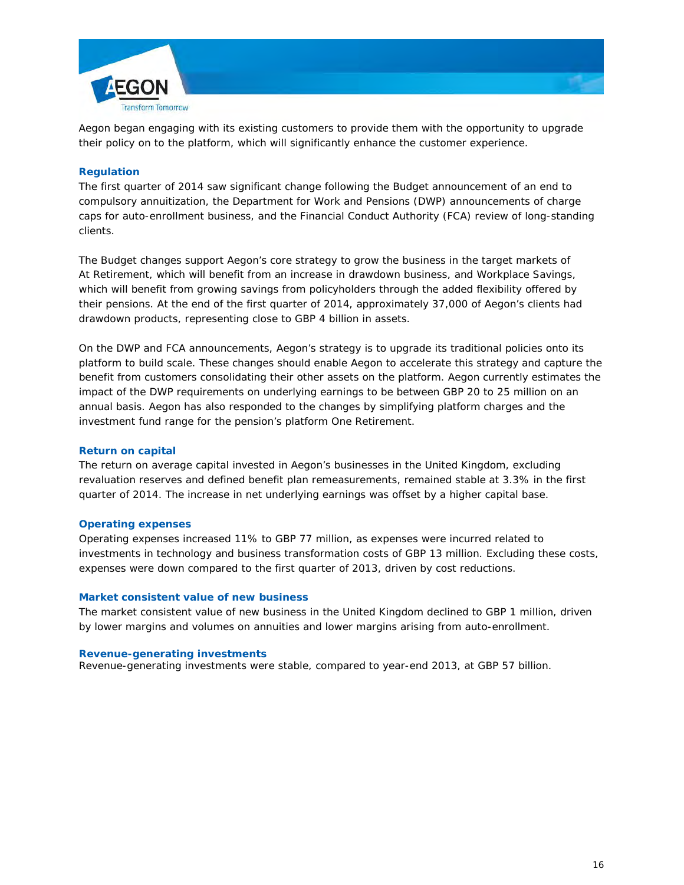

Aegon began engaging with its existing customers to provide them with the opportunity to upgrade their policy on to the platform, which will significantly enhance the customer experience.

### **Regulation**

The first quarter of 2014 saw significant change following the Budget announcement of an end to compulsory annuitization, the Department for Work and Pensions (DWP) announcements of charge caps for auto-enrollment business, and the Financial Conduct Authority (FCA) review of long-standing clients.

The Budget changes support Aegon's core strategy to grow the business in the target markets of At Retirement, which will benefit from an increase in drawdown business, and Workplace Savings, which will benefit from growing savings from policyholders through the added flexibility offered by their pensions. At the end of the first quarter of 2014, approximately 37,000 of Aegon's clients had drawdown products, representing close to GBP 4 billion in assets.

On the DWP and FCA announcements, Aegon's strategy is to upgrade its traditional policies onto its platform to build scale. These changes should enable Aegon to accelerate this strategy and capture the benefit from customers consolidating their other assets on the platform. Aegon currently estimates the impact of the DWP requirements on underlying earnings to be between GBP 20 to 25 million on an annual basis. Aegon has also responded to the changes by simplifying platform charges and the investment fund range for the pension's platform One Retirement.

### **Return on capital**

The return on average capital invested in Aegon's businesses in the United Kingdom, excluding revaluation reserves and defined benefit plan remeasurements, remained stable at 3.3% in the first quarter of 2014. The increase in net underlying earnings was offset by a higher capital base.

### **Operating expenses**

Operating expenses increased 11% to GBP 77 million, as expenses were incurred related to investments in technology and business transformation costs of GBP 13 million. Excluding these costs, expenses were down compared to the first quarter of 2013, driven by cost reductions.

### **Market consistent value of new business**

The market consistent value of new business in the United Kingdom declined to GBP 1 million, driven by lower margins and volumes on annuities and lower margins arising from auto-enrollment.

#### **Revenue-generating investments**

Revenue-generating investments were stable, compared to year-end 2013, at GBP 57 billion.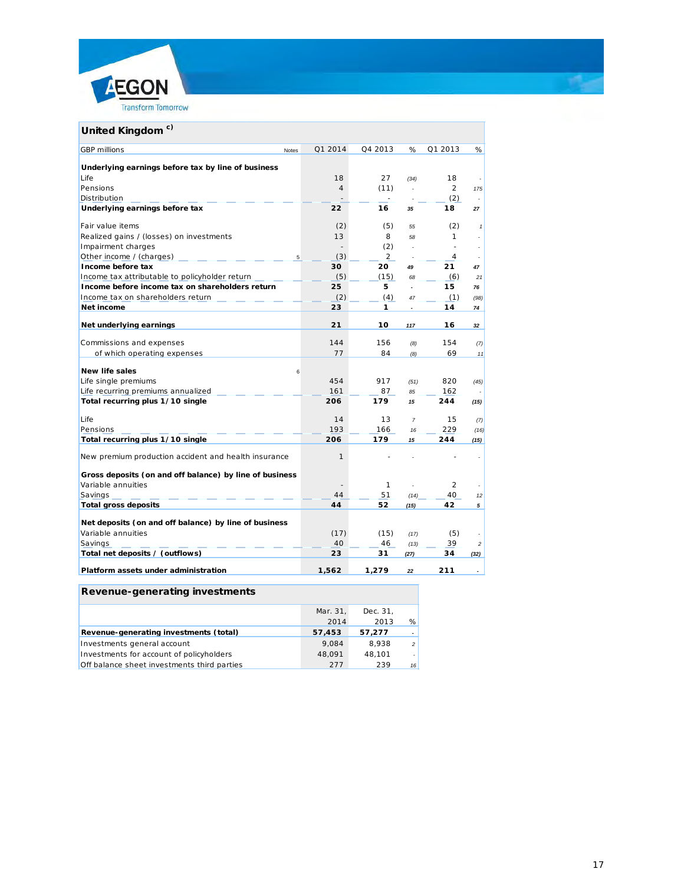

| United Kingdom <sup>c)</sup>                            |                |                |                |                |              |
|---------------------------------------------------------|----------------|----------------|----------------|----------------|--------------|
| <b>GBP</b> millions<br>Notes                            | Q1 2014        | Q4 2013        | %              | Q1 2013        | %            |
| Underlying earnings before tax by line of business      |                |                |                |                |              |
| Life                                                    | 18             | 27             | (34)           | 18             |              |
| Pensions                                                | $\overline{4}$ | (11)           | $\overline{a}$ | $\overline{2}$ | 175          |
| Distribution                                            |                |                |                | (2)            | ÷            |
| Underlying earnings before tax                          | 22             | 16             | 35             | 18             | 27           |
| Fair value items                                        | (2)            | (5)            | 55             | (2)            | $\mathbf{1}$ |
| Realized gains / (losses) on investments                | 13             | 8              | 58             | 1              |              |
| Impairment charges                                      | $\overline{a}$ | (2)            |                |                |              |
| Other income / (charges)<br>5                           | (3)            | $\overline{2}$ |                | 4              |              |
| Income before tax                                       | 30             | 20             | 49             | 21             | 47           |
| Income tax attributable to policyholder return          | (5)            | (15)           | 68             | (6)            | 21           |
| Income before income tax on shareholders return         | 25             | 5              |                | 15             | 76           |
| Income tax on shareholders return                       | (2)            | (4)            | 47             | (1)            | (98)         |
| Net income                                              | 23             | 1              |                | 14             | 74           |
| Net underlying earnings                                 | 21             | 10             | 117            | 16             | 32           |
| Commissions and expenses                                | 144            | 156            | (8)            | 154            | (7)          |
| of which operating expenses                             | 77             | 84             | (8)            | 69             | 11           |
|                                                         |                |                |                |                |              |
| <b>New life sales</b><br>6                              |                |                |                |                |              |
| Life single premiums                                    | 454            | 917            | (51)           | 820            | (45)         |
| Life recurring premiums annualized                      | 161            | 87             | 85             | 162            |              |
| Total recurring plus 1/10 single                        | 206            | 179            | 15             | 244            | (15)         |
| Life                                                    | 14             | 13             | $\overline{7}$ | 15             | (7)          |
| Pensions                                                | 193            | 166            | 16             | 229            | (16)         |
| Total recurring plus 1/10 single                        | 206            | 179            | 15             | 244            | (15)         |
| New premium production accident and health insurance    | 1              |                |                |                |              |
| Gross deposits (on and off balance) by line of business |                |                |                |                |              |
| Variable annuities                                      |                | 1              |                | $\overline{2}$ |              |
| Savings                                                 | 44             | 51             | (14)           | 40             | 12           |
| <b>Total gross deposits</b>                             | 44             | 52             | (15)           | 42             | 5            |
| Net deposits (on and off balance) by line of business   |                |                |                |                |              |
| Variable annuities                                      | (17)           | (15)           | (17)           | (5)            |              |
| Savings                                                 | 40             | 46             | (13)           | 39             | 2            |
| Total net deposits / (outflows)                         | 23             | 31             | (27)           | 34             | (32)         |
|                                                         |                |                |                |                |              |
| Platform assets under administration                    | 1,562          | 1.279          | 22             | 211            |              |

# **Revenue-generating investments**

|                                             | Mar. 31. | Dec. 31. |                          |
|---------------------------------------------|----------|----------|--------------------------|
|                                             | 2014     | 2013     | %                        |
| Revenue-generating investments (total)      | 57,453   | 57.277   |                          |
| Investments general account                 | 9.084    | 8.938    | $\overline{\phantom{0}}$ |
| Investments for account of policyholders    | 48.091   | 48.101   |                          |
| Off balance sheet investments third parties | 277      | 239      | 16                       |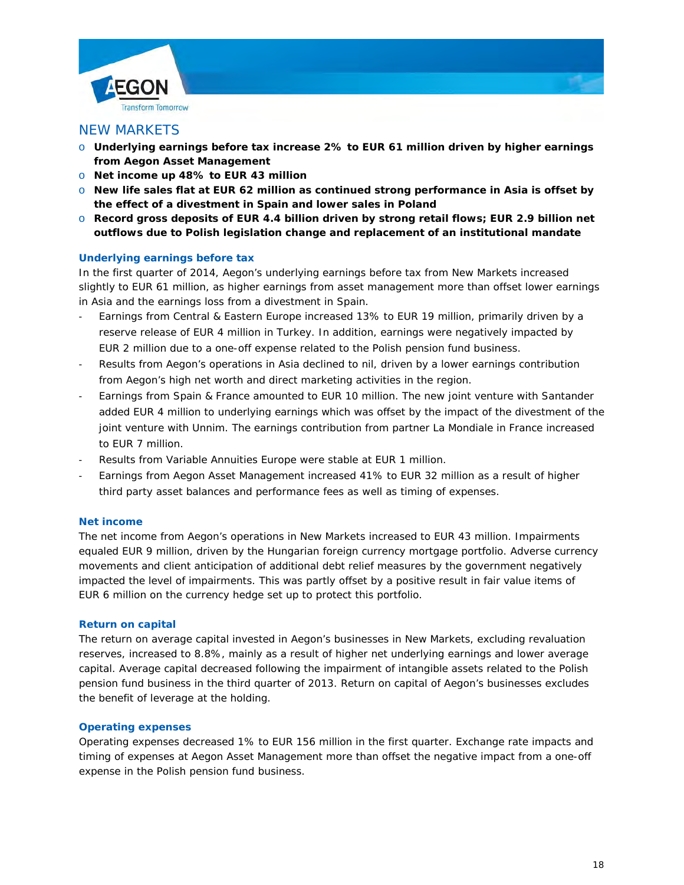

## NEW MARKETS

- o **Underlying earnings before tax increase 2% to EUR 61 million driven by higher earnings from Aegon Asset Management**
- o **Net income up 48% to EUR 43 million**
- o **New life sales flat at EUR 62 million as continued strong performance in Asia is offset by the effect of a divestment in Spain and lower sales in Poland**
- o **Record gross deposits of EUR 4.4 billion driven by strong retail flows; EUR 2.9 billion net outflows due to Polish legislation change and replacement of an institutional mandate**

#### **Underlying earnings before tax**

In the first quarter of 2014, Aegon's underlying earnings before tax from New Markets increased slightly to EUR 61 million, as higher earnings from asset management more than offset lower earnings in Asia and the earnings loss from a divestment in Spain.

- Earnings from Central & Eastern Europe increased 13% to EUR 19 million, primarily driven by a reserve release of EUR 4 million in Turkey. In addition, earnings were negatively impacted by EUR 2 million due to a one-off expense related to the Polish pension fund business.
- Results from Aegon's operations in Asia declined to nil, driven by a lower earnings contribution from Aegon's high net worth and direct marketing activities in the region.
- Earnings from Spain & France amounted to EUR 10 million. The new joint venture with Santander added EUR 4 million to underlying earnings which was offset by the impact of the divestment of the joint venture with Unnim. The earnings contribution from partner La Mondiale in France increased to EUR 7 million.
- Results from Variable Annuities Europe were stable at EUR 1 million.
- Earnings from Aegon Asset Management increased 41% to EUR 32 million as a result of higher third party asset balances and performance fees as well as timing of expenses.

#### **Net income**

The net income from Aegon's operations in New Markets increased to EUR 43 million. Impairments equaled EUR 9 million, driven by the Hungarian foreign currency mortgage portfolio. Adverse currency movements and client anticipation of additional debt relief measures by the government negatively impacted the level of impairments. This was partly offset by a positive result in fair value items of EUR 6 million on the currency hedge set up to protect this portfolio.

#### **Return on capital**

The return on average capital invested in Aegon's businesses in New Markets, excluding revaluation reserves, increased to 8.8%, mainly as a result of higher net underlying earnings and lower average capital. Average capital decreased following the impairment of intangible assets related to the Polish pension fund business in the third quarter of 2013. Return on capital of Aegon's businesses excludes the benefit of leverage at the holding.

#### **Operating expenses**

Operating expenses decreased 1% to EUR 156 million in the first quarter. Exchange rate impacts and timing of expenses at Aegon Asset Management more than offset the negative impact from a one-off expense in the Polish pension fund business.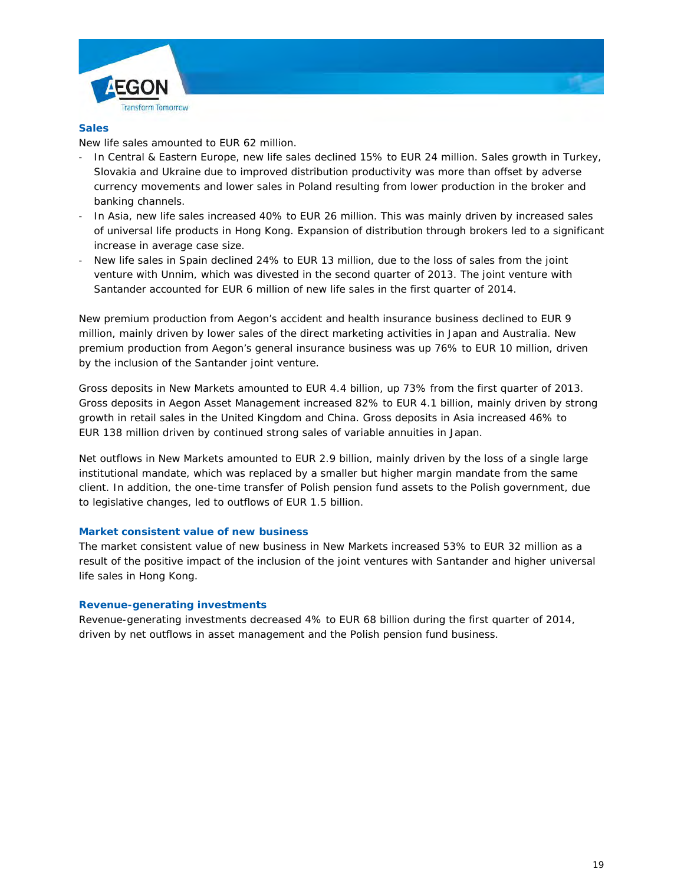



New life sales amounted to EUR 62 million.

- In Central & Eastern Europe, new life sales declined 15% to EUR 24 million. Sales growth in Turkey, Slovakia and Ukraine due to improved distribution productivity was more than offset by adverse currency movements and lower sales in Poland resulting from lower production in the broker and banking channels.
- In Asia, new life sales increased 40% to EUR 26 million. This was mainly driven by increased sales of universal life products in Hong Kong. Expansion of distribution through brokers led to a significant increase in average case size.
- New life sales in Spain declined 24% to EUR 13 million, due to the loss of sales from the joint venture with Unnim, which was divested in the second quarter of 2013. The joint venture with Santander accounted for EUR 6 million of new life sales in the first quarter of 2014.

New premium production from Aegon's accident and health insurance business declined to EUR 9 million, mainly driven by lower sales of the direct marketing activities in Japan and Australia. New premium production from Aegon's general insurance business was up 76% to EUR 10 million, driven by the inclusion of the Santander joint venture.

Gross deposits in New Markets amounted to EUR 4.4 billion, up 73% from the first quarter of 2013. Gross deposits in Aegon Asset Management increased 82% to EUR 4.1 billion, mainly driven by strong growth in retail sales in the United Kingdom and China. Gross deposits in Asia increased 46% to EUR 138 million driven by continued strong sales of variable annuities in Japan.

Net outflows in New Markets amounted to EUR 2.9 billion, mainly driven by the loss of a single large institutional mandate, which was replaced by a smaller but higher margin mandate from the same client. In addition, the one-time transfer of Polish pension fund assets to the Polish government, due to legislative changes, led to outflows of EUR 1.5 billion.

### **Market consistent value of new business**

The market consistent value of new business in New Markets increased 53% to EUR 32 million as a result of the positive impact of the inclusion of the joint ventures with Santander and higher universal life sales in Hong Kong.

#### **Revenue-generating investments**

Revenue-generating investments decreased 4% to EUR 68 billion during the first quarter of 2014, driven by net outflows in asset management and the Polish pension fund business.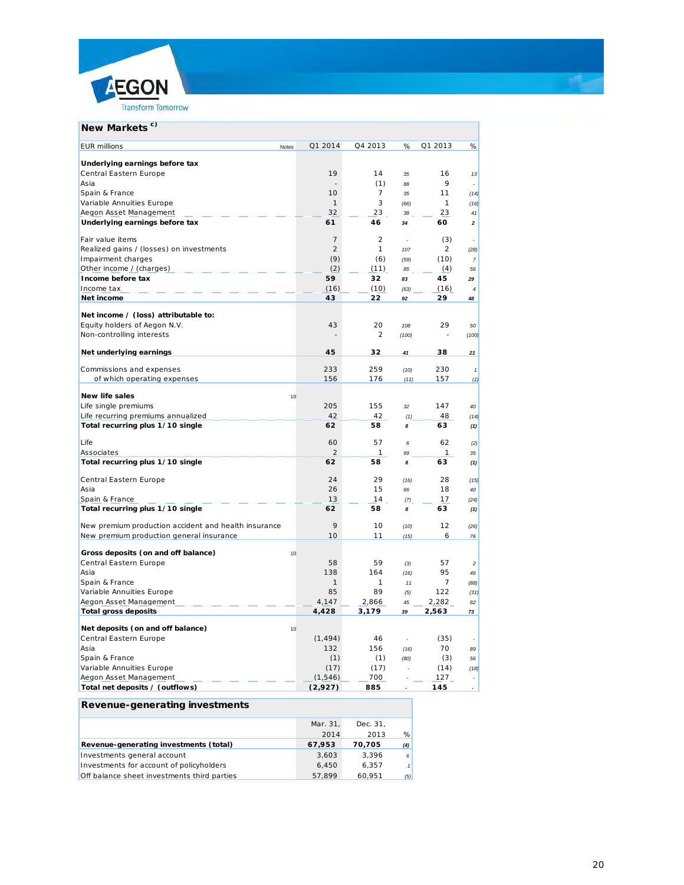

| New Markets <sup>c)</sup>                            |                |                          |       |                |                          |
|------------------------------------------------------|----------------|--------------------------|-------|----------------|--------------------------|
| <b>EUR millions</b><br>Notes                         | Q1 2014        | Q4 2013                  | %     | Q1 2013        | %                        |
| Underlying earnings before tax                       |                |                          |       |                |                          |
| Central Eastern Europe                               | 19             | 14                       | 35    | 16             | 13                       |
| Asia                                                 |                | (1)                      | 88    | 9              |                          |
| Spain & France                                       | 10             | 7                        | 35    | 11             | (14)                     |
| Variable Annuities Europe                            | 1              | 3                        | (66)  | $\mathbf{1}$   | (16)                     |
| Aegon Asset Management                               | 32             | 23                       | 38    | 23             | 41                       |
| Underlying earnings before tax                       | 61             | 46                       | 34    | 60             | $\mathbf{2}$             |
| Fair value items                                     | $\overline{7}$ | 2                        |       | (3)            |                          |
| Realized gains / (losses) on investments             | $\overline{2}$ | $\mathbf{1}$             | 107   | 2              | (28)                     |
| Impairment charges                                   | (9)            | (6)                      | (59)  | (10)           | $\overline{7}$           |
| Other income / (charges)                             | (2)            | (11)                     | 85    | (4)            | 56                       |
| Income before tax                                    | 59             | 32                       | 83    | 45             | 29                       |
| Income tax                                           | (16)           | (10)                     | (63)  | (16)           | $\overline{4}$           |
| Net income                                           | 43             | 22                       | 92    | 29             | 48                       |
|                                                      |                |                          |       |                |                          |
| Net income / (loss) attributable to:                 |                |                          |       |                |                          |
| Equity holders of Aegon N.V.                         | 43             | 20                       | 108   | 29             | 50                       |
| Non-controlling interests                            |                | $\overline{\mathcal{L}}$ | (100) |                | (100)                    |
| Net underlying earnings                              | 45             | 32                       | 41    | 38             | 21                       |
| Commissions and expenses                             | 233            | 259                      | (10)  | 230            | $\pmb{\mathcal{I}}$      |
| of which operating expenses                          | 156            | 176                      | (11)  | 157            | (1)                      |
|                                                      |                |                          |       |                |                          |
| <b>New life sales</b><br>10                          |                |                          |       |                |                          |
| Life single premiums                                 | 205            | 155                      | 32    | 147            | 40                       |
| Life recurring premiums annualized                   | 42             | 42                       | (1)   | 48             | (14)                     |
| Total recurring plus 1/10 single                     | 62             | 58                       | 8     | 63             | (1)                      |
| Life                                                 | 60             | 57                       | 6     | 62             | (2)                      |
| Associates                                           | 2              | 1                        | 99    | 1              | 35                       |
| Total recurring plus 1/10 single                     | 62             | 58                       | 8     | 63             | (1)                      |
| Central Eastern Europe                               | 24             | 29                       | (16)  | 28             | (15)                     |
| Asia                                                 | 26             | 15                       | 66    | 18             | 40                       |
| Spain & France                                       | 13             | 14                       | (7)   | 17             | (24)                     |
| Total recurring plus 1/10 single                     | 62             | 58                       | 8     | 63             | (1)                      |
| New premium production accident and health insurance | 9              | 10                       | (10)  | 12             | (26)                     |
| New premium production general insurance             | 10             | 11                       | (15)  | 6              | 76                       |
|                                                      |                |                          |       |                |                          |
| Gross deposits (on and off balance)<br>10            |                |                          |       |                |                          |
| Central Eastern Europe                               | 58             | 59                       | (3)   | 57             | $\overline{c}$           |
| Asia                                                 | 138            | 164                      | (16)  | 95             | 46                       |
| Spain & France                                       | 1              | 1                        | 11    | $\overline{7}$ | (88)                     |
| Variable Annuities Europe                            | 85             | 89                       | (5)   | 122            | (31)                     |
| Aegon Asset Management                               | 4,147          | 2,866                    | 45    | 2,282          | 82                       |
| <b>Total gross deposits</b>                          | 4,428          | 3,179                    | 39    | 2,563          | 73                       |
| Net deposits (on and off balance)<br>10              |                |                          |       |                |                          |
| Central Eastern Europe                               | (1, 494)       | 46                       |       | (35)           |                          |
| Asia                                                 | 132            | 156                      | (16)  | 70             | 89                       |
| Spain & France                                       | (1)            | (1)                      | (80)  | (3)            | 56                       |
| Variable Annuities Europe                            | (17)           | (17)                     |       | (14)           | (18)                     |
| Aegon Asset Management                               | (1, 546)       | 700                      |       | 127            |                          |
| Total net deposits / (outflows)                      | (2,927)        | 885                      |       | 145            | $\overline{\phantom{a}}$ |
|                                                      |                |                          |       |                |                          |
| Revenue-generating investments                       |                |                          |       |                |                          |

|                                             | Mar. 31. | Dec. 31. |               |
|---------------------------------------------|----------|----------|---------------|
|                                             | 2014     | 2013     | $\frac{9}{6}$ |
| Revenue-generating investments (total)      | 67,953   | 70.705   | (4)           |
| Investments general account                 | 3.603    | 3.396    | 6             |
| Investments for account of policyholders    | 6.450    | 6.357    |               |
| Off balance sheet investments third parties | 57.899   | 60.951   | (5)           |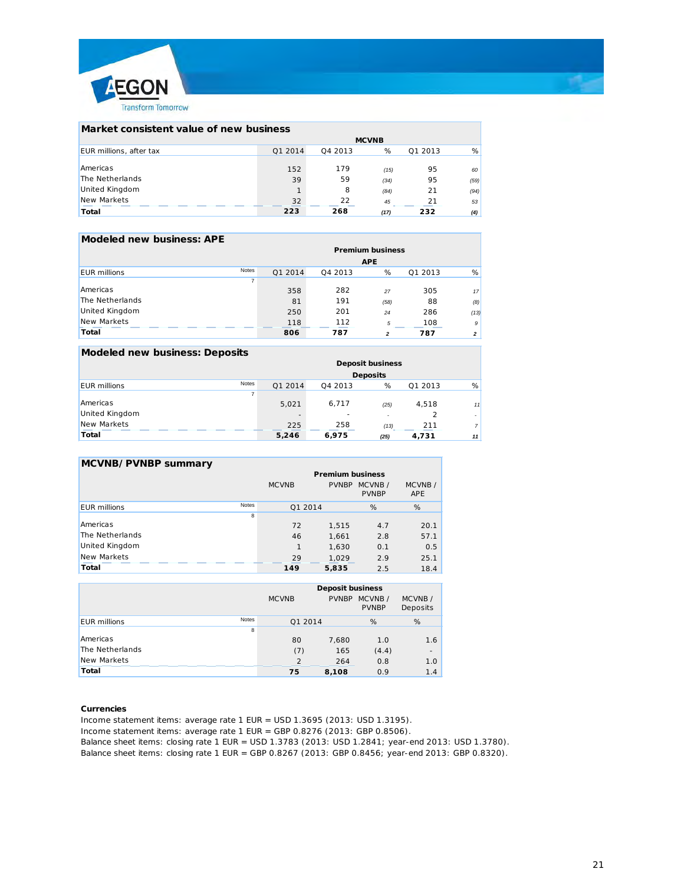

| Market consistent value of new business |              |         |      |         |      |
|-----------------------------------------|--------------|---------|------|---------|------|
|                                         | <b>MCVNB</b> |         |      |         |      |
| <b>EUR</b> millions, after tax          | Q1 2014      | 04 2013 | %    | Q1 2013 | %    |
|                                         |              |         |      |         |      |
| Americas                                | 152          | 179     | (15) | 95      | 60   |
| The Netherlands                         | 39           | 59      | (34) | 95      | (59) |
| <b>United Kingdom</b>                   |              | 8       | (84) | 21      | (94) |
| New Markets                             | 32           | 22      | 45   | 21      | 53   |
| Total                                   | 223          | 268     | (17) | 232     | (4)  |

#### **Modeled new business: APE**

|                       |       | <b>Premium business</b> |         |            |         |                |
|-----------------------|-------|-------------------------|---------|------------|---------|----------------|
|                       |       |                         |         | <b>APE</b> |         |                |
| <b>EUR</b> millions   | Notes | Q1 2014                 | Q4 2013 | %          | Q1 2013 | %              |
|                       |       |                         |         |            |         |                |
| Americas              |       | 358                     | 282     | 27         | 305     | 17             |
| The Netherlands       |       | 81                      | 191     | (58)       | 88      | (8)            |
| <b>United Kingdom</b> |       | 250                     | 201     | 24         | 286     | (13)           |
| New Markets           |       | 118                     | 112     | 5          | 108     | 9              |
| Total                 |       | 806                     | 787     | 2          | 787     | $\overline{2}$ |

#### **Modeled new business: Deposits**

|                     |       | <b>Deposit business</b> |         |                          |         |                |
|---------------------|-------|-------------------------|---------|--------------------------|---------|----------------|
|                     |       |                         |         | <b>Deposits</b>          |         |                |
| <b>EUR</b> millions | Notes | Q1 2014                 | Q4 2013 | %                        | Q1 2013 | %              |
|                     |       |                         |         |                          |         |                |
| Americas            |       | 5.021                   | 6,717   | (25)                     | 4,518   | 11             |
| United Kingdom      |       |                         |         | $\overline{\phantom{a}}$ |         |                |
| New Markets         |       | 225                     | 258     | (13)                     | 211     | $\overline{7}$ |
| Total               |       | 5,246                   | 6,975   | (25)                     | 4,731   | 11             |

#### **MCVNB/PVNBP summary**

|                              | <b>Premium business</b> |              |                        |                      |
|------------------------------|-------------------------|--------------|------------------------|----------------------|
|                              | <b>MCVNB</b>            | <b>PVNBP</b> | MCVNB/<br><b>PVNBP</b> | MCVNB/<br><b>APE</b> |
| Notes<br><b>EUR</b> millions | Q1 2014                 |              | %                      | %                    |
| 8                            |                         |              |                        |                      |
| Americas                     | 72                      | 1.515        | 4.7                    | 20.1                 |
| The Netherlands              | 46                      | 1.661        | 2.8                    | 57.1                 |
| <b>United Kingdom</b>        |                         | 1,630        | 0.1                    | 0.5                  |
| New Markets                  | 29                      | 1,029        | 2.9                    | 25.1                 |
| Total                        | 149                     | 5,835        | 2.5                    | 18.4                 |

|                     |       | <b>Deposit business</b><br>MCVNB/<br>MCVNB/<br><b>PVNBP</b><br><b>MCVNB</b><br>Deposits<br><b>PVNBP</b> |       |       |                          |
|---------------------|-------|---------------------------------------------------------------------------------------------------------|-------|-------|--------------------------|
| <b>EUR</b> millions | Notes | Q1 2014                                                                                                 |       | %     | %                        |
|                     | 8     |                                                                                                         |       |       |                          |
| Americas            |       | 80                                                                                                      | 7,680 | 1.0   | 1.6                      |
| The Netherlands     |       | (7)                                                                                                     | 165   | (4.4) | $\overline{\phantom{a}}$ |
| New Markets         |       | $\mathcal{D}$                                                                                           | 264   | 0.8   | 1.0                      |
| Total               |       | 75                                                                                                      | 8,108 | 0.9   | 1.4                      |

#### **Currencies**

Income statement items: average rate 1 EUR = USD 1.3695 (2013: USD 1.3195). Income statement items: average rate 1 EUR = GBP 0.8276 (2013: GBP 0.8506). Balance sheet items: closing rate 1 EUR = USD 1.3783 (2013: USD 1.2841; year-end 2013: USD 1.3780). Balance sheet items: closing rate 1 EUR = GBP 0.8267 (2013: GBP 0.8456; year-end 2013: GBP 0.8320).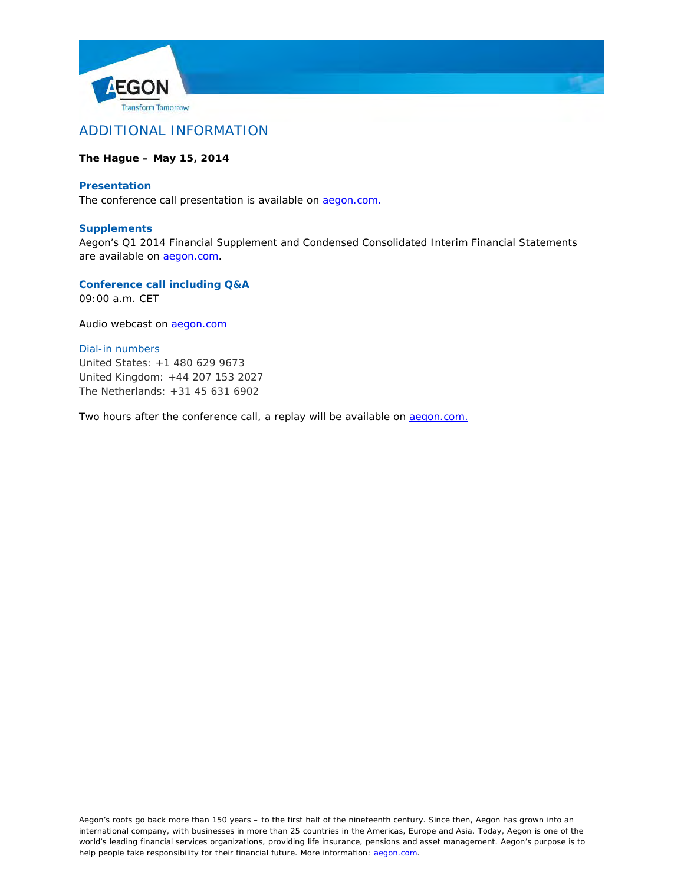



### **The Hague – May 15, 2014**

### **Presentation**

The conference call presentation is available on [aegon.com.](http://www.aegon.com/)

### **Supplements**

Aegon's Q1 2014 Financial Supplement and Condensed Consolidated Interim Financial Statements are available on **aegon.com**.

**Conference call including Q&A**

09:00 a.m. CET

Audio webcast on [aegon.com](http://www.aegon.com/)

### *Dial-in numbers*

United States: +1 480 629 9673 United Kingdom: +44 207 153 2027 The Netherlands: +31 45 631 6902

Two hours after the conference call, a replay will be available on aegon.com.

Aegon's roots go back more than 150 years – to the first half of the nineteenth century. Since then, Aegon has grown into an international company, with businesses in more than 25 countries in the Americas, Europe and Asia. Today, Aegon is one of the world's leading financial services organizations, providing life insurance, pensions and asset management. Aegon's purpose is to help people take responsibility for their financial future. More information: [aegon.com.](http://www.aegon.com/)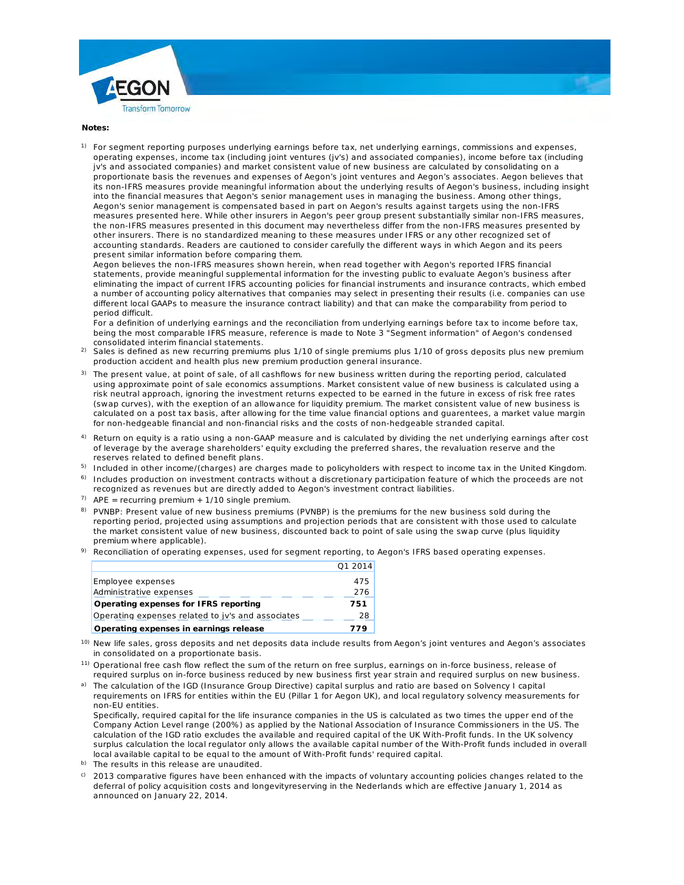



**Notes:**

<sup>1)</sup> For segment reporting purposes underlying earnings before tax, net underlying earnings, commissions and expenses, operating expenses, income tax (including joint ventures (jv's) and associated companies), income before tax (including jv's and associated companies) and market consistent value of new business are calculate d by consolidating on a proportionate basis the revenues and expenses of Aegon's joint ventures and Aegon's as sociates. Aegon believes that its non-IFRS measures provide meaningful information about the underlying results of Aeg on's business, including insight into the financial measures that Aegon's senior management uses in managing the busine ss. Among other things, Aegon's senior management is compensated based in part on Aegon's results against targ ets using the non-IFRS measures presented here. While other insurers in Aegon's peer group present substantiall y similar non-IFRS measures, the non-IFRS measures presented in this document may nevertheless differ from the non-I FRS measures presented by other insurers. There is no standardized meaning to these measures under IFRS or any ot her recognized set of accounting standards. Readers are cautioned to consider carefully the different ways in wh ich Aegon and its peers present similar information before comparing them.

Aegon believes the non-IFRS measures shown herein, when read together with Aegon's re ported IFRS financial statements, provide meaningful supplemental information for the investing public to evalua te Aegon's business after eliminating the impact of current IFRS accounting policies for financial instruments and insu rance contracts, which embed a number of accounting policy alternatives that companies may select in presenting their re sults (i.e. companies can use different local GAAPs to measure the insurance contract liability) and that can make the co mparability from period to period difficult.

For a definition of underlying earnings and the reconciliation from underlying earnings befo re tax to income before tax, being the most comparable IFRS measure, reference is made to Note 3 "Segment informati on" of Aegon's condensed consolidated interim financial statements.

- $^{2)}$  Sales is defined as new recurring premiums plus 1/10 of single premiums plus 1/10 of gross deposits plus new premium production accident and health plus new premium production general insurance.
- $3)$  The present value, at point of sale, of all cashflows for new business written during the reporting period, calculated using approximate point of sale economics assumptions. Market consistent value of new b usiness is calculated using a risk neutral approach, ignoring the investment returns expected to be earned in the future in excess of risk free rates (swap curves), with the exeption of an allowance for liquidity premium. The market consist ent value of new business is calculated on a post tax basis, after allowing for the time value financial options and guare ntees, a market value margin for non-hedgeable financial and non-financial risks and the costs of non-hedgeable strand ed capital.
- $4$ ) Return on equity is a ratio using a non-GAAP measure and is calculated by dividing the net underlying earnings after cost of leverage by the average shareholders' equity excluding the preferred shares, the revalu ation reserve and the reserves related to defined benefit plans.
- $^{5)}$  Included in other income/(charges) are charges made to policyholders with respect to income tax in the United Kingdom.
- $^{\rm 6)}$  Includes production on investment contracts without a discretionary participation feature of which the proceeds are not recognized as revenues but are directly added to Aegon's investment contract liabilities.
- $7)$  APE = recurring premium + 1/10 single premium.
- <sup>8)</sup> PVNBP: Present value of new business premiums (PVNBP) is the premiums for the new business sold during the reporting period, projected using assumptions and projection periods that are consistent with those used to calculate the market consistent value of new business, discounted back to point of sale using the s wap curve (plus liquidity premium where applicable).
- $^{9)}$  Reconciliation of operating expenses, used for segment reporting, to Aegon's IFRS based operating expenses.

|                                                   | Q1 2014 |
|---------------------------------------------------|---------|
| Employee expenses                                 | 475     |
| Administrative expenses                           | 276     |
| Operating expenses for IFRS reporting             | 751     |
| Operating expenses related to jy's and associates | 28      |
| Operating expenses in earnings release            | 779     |

- 10) New life sales, gross deposits and net deposits data include results from Aegon's joint ven tures and Aegon's associates in consolidated on a proportionate basis.
- <sup>11)</sup> Operational free cash flow reflect the sum of the return on free surplus, earnings on in-force business, release of required surplus on in-force business reduced by new business first year strain and requir ed surplus on new business.
- <sup>a)</sup> The calculation of the IGD (Insurance Group Directive) capital surplus and ratio are based on Solvency I capital requirements on IFRS for entities within the EU (Pillar 1 for Aegon UK), and local regulatory solvency measurements for non-EU entities.

Specifically, required capital for the life insurance companies in the US is calculated as two t imes the upper end of the Company Action Level range (200%) as applied by the National Association of Insurance C ommissioners in the US. The calculation of the IGD ratio excludes the available and required capital of the UK With-Profit funds. In the UK solvency surplus calculation the local regulator only allows the available capital number of the With-Profit funds included in overall local available capital to be equal to the amount of With-Profit funds' required capital.

- b) The results in this release are unaudited.
- $\circ$  2013 comparative figures have been enhanced with the impacts of voluntary accounting policies changes related to the deferral of policy acquisition costs and longevityreserving in the Nederlands which are effective January 1, 2014 as announced on January 22, 2014.